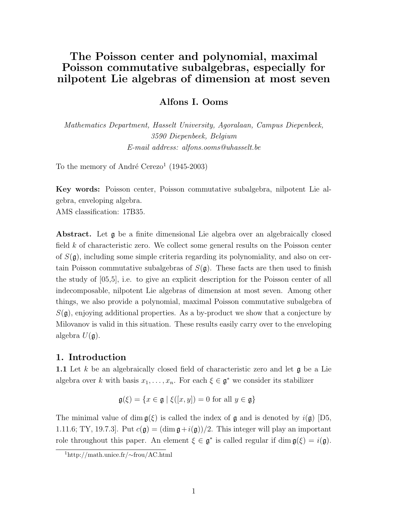# The Poisson center and polynomial, maximal Poisson commutative subalgebras, especially for nilpotent Lie algebras of dimension at most seven

# Alfons I. Ooms

Mathematics Department, Hasselt University, Agoralaan, Campus Diepenbeek, 3590 Diepenbeek, Belgium E-mail address: alfons.ooms@uhasselt.be

To the memory of André Cerezo<sup>1</sup> (1945-2003)

Key words: Poisson center, Poisson commutative subalgebra, nilpotent Lie algebra, enveloping algebra.

AMS classification: 17B35.

Abstract. Let  $\mathfrak g$  be a finite dimensional Lie algebra over an algebraically closed field  $k$  of characteristic zero. We collect some general results on the Poisson center of  $S(\mathfrak{g})$ , including some simple criteria regarding its polynomiality, and also on certain Poisson commutative subalgebras of  $S(\mathfrak{g})$ . These facts are then used to finish the study of [05,5], i.e. to give an explicit description for the Poisson center of all indecomposable, nilpotent Lie algebras of dimension at most seven. Among other things, we also provide a polynomial, maximal Poisson commutative subalgebra of  $S(\mathfrak{g})$ , enjoying additional properties. As a by-product we show that a conjecture by Milovanov is valid in this situation. These results easily carry over to the enveloping algebra  $U(\mathfrak{g})$ .

# 1. Introduction

**1.1** Let k be an algebraically closed field of characteristic zero and let **g** be a Lie algebra over k with basis  $x_1, \ldots, x_n$ . For each  $\xi \in \mathfrak{g}^*$  we consider its stabilizer

$$
\mathfrak{g}(\xi) = \{ x \in \mathfrak{g} \mid \xi([x, y]) = 0 \text{ for all } y \in \mathfrak{g} \}
$$

The minimal value of dim  $g(\xi)$  is called the index of g and is denoted by  $i(g)$  [D5, 1.11.6; TY, 19.7.3. Put  $c(\mathfrak{g}) = (\dim \mathfrak{g} + i(\mathfrak{g}))/2$ . This integer will play an important role throughout this paper. An element  $\xi \in \mathfrak{g}^*$  is called regular if  $\dim \mathfrak{g}(\xi) = i(\mathfrak{g})$ .

<sup>1</sup>http://math.unice.fr/∼frou/AC.html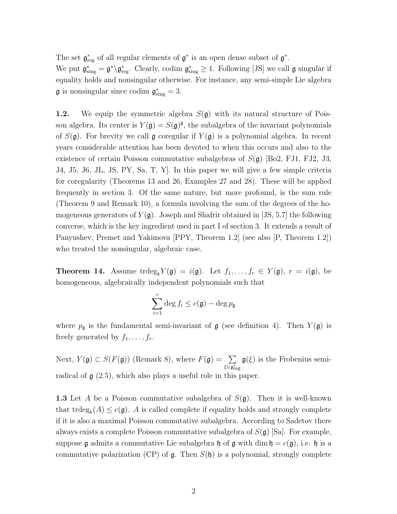The set  $\mathfrak{g}^*_{reg}$  of all regular elements of  $\mathfrak{g}^*$  is an open dense subset of  $\mathfrak{g}^*$ . We put  $\mathfrak{g}^*_{sing} = \mathfrak{g}^* \backslash \mathfrak{g}^*_{reg}$ . Clearly, codim  $\mathfrak{g}^*_{sing} \geq 1$ . Following [JS] we call  $\mathfrak{g}$  singular if equality holds and nonsingular otherwise. For instance, any semi-simple Lie algebra  $\mathfrak g$  is nonsingular since codim  $\mathfrak g^*_{sing} = 3$ .

**1.2.** We equip the symmetric algebra  $S(\mathfrak{g})$  with its natural structure of Poisson algebra. Its center is  $Y(\mathfrak{g}) = S(\mathfrak{g})^{\mathfrak{g}}$ , the subalgebra of the invariant polynomials of  $S(\mathfrak{g})$ . For brevity we call  $\mathfrak{g}$  coregular if  $Y(\mathfrak{g})$  is a polynomial algebra. In recent years considerable attention has been devoted to when this occurs and also to the existence of certain Poisson commutative subalgebras of  $S(\mathfrak{g})$  [Bo2, FJ1, FJ2, J3, J4, J5, J6, JL, JS, PY, Sa, T, Y]. In this paper we will give a few simple criteria for coregularity (Theorems 13 and 26, Examples 27 and 28). These will be applied frequently in section 3. Of the same nature, but more profound, is the sum rule (Theorem 9 and Remark 10), a formula involving the sum of the degrees of the homogeneous generators of  $Y(\mathfrak{g})$ . Joseph and Shafrir obtained in [JS, 5.7] the following converse, which is the key ingredient used in part I of section 3. It extends a result of Panyushev, Premet and Yakimova [PPY, Theorem 1.2] (see also [P, Theorem 1.2]) who treated the nonsingular, algebraic case.

**Theorem 14.** Assume trdeg<sub>k</sub> $Y(\mathfrak{g}) = i(\mathfrak{g})$ . Let  $f_1, \ldots, f_r \in Y(\mathfrak{g})$ ,  $r = i(\mathfrak{g})$ , be homogeneous, algebraically independent polynomials such that

$$
\sum_{i=1}^r \deg f_i \le c(\mathfrak{g}) - \deg p_{\mathfrak{g}}
$$

where  $p_{\mathfrak{g}}$  is the fundamental semi-invariant of  $\mathfrak{g}$  (see definition 4). Then  $Y(\mathfrak{g})$  is freely generated by  $f_1, \ldots, f_r$ .

Next,  $Y(\mathfrak{g}) \subset S(F(\mathfrak{g}))$  (Remark 8), where  $F(\mathfrak{g}) = \sum$  $\xi\overline{\in\mathfrak{g}^*_{\rm reg}}$  $g(\xi)$  is the Frobenius semiradical of  $g(2.5)$ , which also plays a useful role in this paper.

**1.3** Let A be a Poisson commutative subalgebra of  $S(\mathfrak{g})$ . Then it is well-known that trdeg<sub>k</sub> $(A) \leq c(\mathfrak{g})$ . A is called complete if equality holds and strongly complete if it is also a maximal Poisson commutative subalgebra. According to Sadetov there always exists a complete Poisson commutative subalgebra of  $S(\mathfrak{g})$  [Sa]. For example, suppose g admits a commutative Lie subalgebra h of g with dim  $\mathfrak{h} = c(\mathfrak{g})$ , i.e. h is a commutative polarization (CP) of  $\mathfrak{g}$ . Then  $S(\mathfrak{h})$  is a polynomial, strongly complete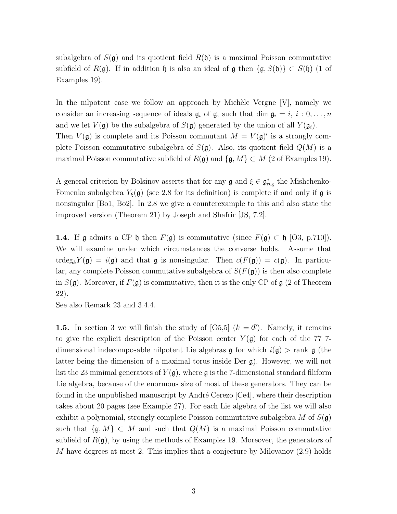subalgebra of  $S(\mathfrak{g})$  and its quotient field  $R(\mathfrak{h})$  is a maximal Poisson commutative subfield of  $R(\mathfrak{g})$ . If in addition h is also an ideal of  $\mathfrak{g}$  then  $\{\mathfrak{g}, S(\mathfrak{h})\} \subset S(\mathfrak{h})$  (1 of Examples 19).

In the nilpotent case we follow an approach by Michèle Vergne  $[V]$ , namely we consider an increasing sequence of ideals  $\mathfrak{g}_i$  of  $\mathfrak{g}_i$ , such that dim  $\mathfrak{g}_i = i, i : 0, \ldots, n$ and we let  $V(\mathfrak{g})$  be the subalgebra of  $S(\mathfrak{g})$  generated by the union of all  $Y(\mathfrak{g}_i)$ . Then  $V(\mathfrak{g})$  is complete and its Poisson commutant  $M = V(\mathfrak{g})'$  is a strongly complete Poisson commutative subalgebra of  $S(\mathfrak{g})$ . Also, its quotient field  $Q(M)$  is a maximal Poisson commutative subfield of  $R(\mathfrak{g})$  and  $\{\mathfrak{g}, M\} \subset M$  (2 of Examples 19).

A general criterion by Bolsinov asserts that for any  $\mathfrak{g}$  and  $\xi \in \mathfrak{g}_{reg}^*$  the Mishchenko-Fomenko subalgebra  $Y_{\xi}(\mathfrak{g})$  (see 2.8 for its definition) is complete if and only if  $\mathfrak{g}$  is nonsingular [Bo1, Bo2]. In 2.8 we give a counterexample to this and also state the improved version (Theorem 21) by Joseph and Shafrir [JS, 7.2].

**1.4.** If g admits a CP h then  $F(g)$  is commutative (since  $F(g) \subset \mathfrak{h}$  [O3, p.710]). We will examine under which circumstances the converse holds. Assume that trdeg<sub>k</sub> $Y(\mathfrak{g}) = i(\mathfrak{g})$  and that  $\mathfrak{g}$  is nonsingular. Then  $c(F(\mathfrak{g})) = c(\mathfrak{g})$ . In particular, any complete Poisson commutative subalgebra of  $S(F(\mathfrak{g}))$  is then also complete in  $S(\mathfrak{g})$ . Moreover, if  $F(\mathfrak{g})$  is commutative, then it is the only CP of  $\mathfrak{g}$  (2 of Theorem 22).

See also Remark 23 and 3.4.4.

**1.5.** In section 3 we will finish the study of  $[0.5,5]$   $(k = \mathcal{C})$ . Namely, it remains to give the explicit description of the Poisson center  $Y(\mathfrak{g})$  for each of the 77 7dimensional indecomposable nilpotent Lie algebras  $\mathfrak g$  for which  $i(\mathfrak g) > \text{rank } \mathfrak g$  (the latter being the dimension of a maximal torus inside Der g). However, we will not list the 23 minimal generators of  $Y(\mathfrak{g})$ , where  $\mathfrak{g}$  is the 7-dimensional standard filiform Lie algebra, because of the enormous size of most of these generators. They can be found in the unpublished manuscript by André Cerezo [Ce4], where their description takes about 20 pages (see Example 27). For each Lie algebra of the list we will also exhibit a polynomial, strongly complete Poisson commutative subalgebra M of  $S(\mathfrak{g})$ such that  $\{\mathfrak{g}, M\} \subset M$  and such that  $Q(M)$  is a maximal Poisson commutative subfield of  $R(\mathfrak{g})$ , by using the methods of Examples 19. Moreover, the generators of M have degrees at most 2. This implies that a conjecture by Milovanov (2.9) holds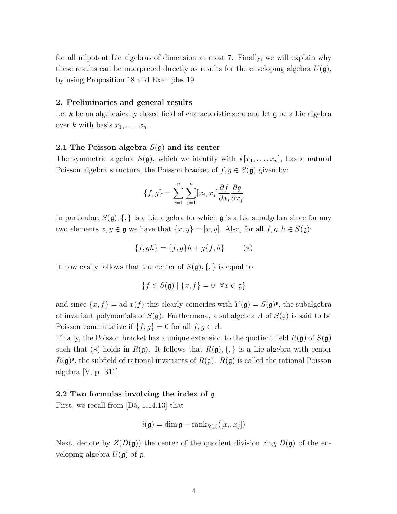for all nilpotent Lie algebras of dimension at most 7. Finally, we will explain why these results can be interpreted directly as results for the enveloping algebra  $U(\mathfrak{g})$ , by using Proposition 18 and Examples 19.

#### 2. Preliminaries and general results

Let k be an algebraically closed field of characteristic zero and let  $\mathfrak g$  be a Lie algebra over k with basis  $x_1, \ldots, x_n$ .

#### 2.1 The Poisson algebra  $S(\mathfrak{g})$  and its center

The symmetric algebra  $S(\mathfrak{g})$ , which we identify with  $k[x_1, \ldots, x_n]$ , has a natural Poisson algebra structure, the Poisson bracket of  $f, g \in S(\mathfrak{g})$  given by:

$$
\{f,g\} = \sum_{i=1}^{n} \sum_{j=1}^{n} [x_i, x_j] \frac{\partial f}{\partial x_i} \frac{\partial g}{\partial x_j}
$$

In particular,  $S(\mathfrak{g}), \{\,\}\$ is a Lie algebra for which  $\mathfrak g$  is a Lie subalgebra since for any two elements  $x, y \in \mathfrak{g}$  we have that  $\{x, y\} = [x, y]$ . Also, for all  $f, g, h \in S(\mathfrak{g})$ :

$$
\{f, gh\} = \{f, g\}h + g\{f, h\}
$$
 (\*)

It now easily follows that the center of  $S(\mathfrak{g}), \{,\}$  is equal to

$$
\{f \in S(\mathfrak{g}) \mid \{x, f\} = 0 \quad \forall x \in \mathfrak{g}\}
$$

and since  $\{x, f\}$  = ad  $x(f)$  this clearly coincides with  $Y(\mathfrak{g}) = S(\mathfrak{g})^{\mathfrak{g}}$ , the subalgebra of invariant polynomials of  $S(\mathfrak{g})$ . Furthermore, a subalgebra A of  $S(\mathfrak{g})$  is said to be Poisson commutative if  $\{f, g\} = 0$  for all  $f, g \in A$ .

Finally, the Poisson bracket has a unique extension to the quotient field  $R(\mathfrak{g})$  of  $S(\mathfrak{g})$ such that (\*) holds in  $R(\mathfrak{g})$ . It follows that  $R(\mathfrak{g}), \{,\}$  is a Lie algebra with center  $R(\mathfrak{g})^{\mathfrak{g}}$ , the subfield of rational invariants of  $R(\mathfrak{g})$ .  $R(\mathfrak{g})$  is called the rational Poisson algebra [V, p. 311].

## 2.2 Two formulas involving the index of g

First, we recall from [D5, 1.14.13] that

$$
i(\mathfrak{g}) = \dim \mathfrak{g} - \text{rank}_{R(\mathfrak{g})}([x_i, x_j])
$$

Next, denote by  $Z(D(\mathfrak{g}))$  the center of the quotient division ring  $D(\mathfrak{g})$  of the enveloping algebra  $U(\mathfrak{g})$  of  $\mathfrak{g}$ .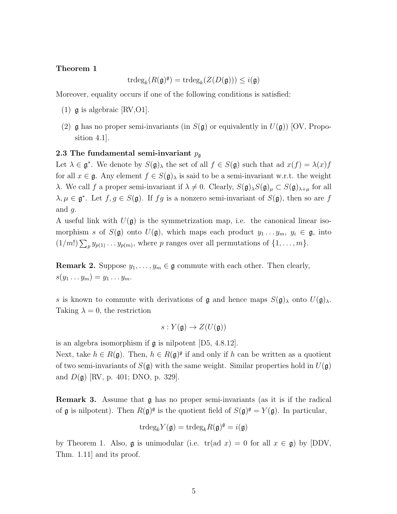#### Theorem 1

$$
\operatorname{trdeg}_k(R(\mathfrak{g})^{\mathfrak{g}})=\operatorname{trdeg}_k(Z(D(\mathfrak{g})))\leq i(\mathfrak{g})
$$

Moreover, equality occurs if one of the following conditions is satisfied:

- (1)  $\alpha$  is algebraic [RV, O1].
- (2) g has no proper semi-invariants (in  $S(\mathfrak{g})$  or equivalently in  $U(\mathfrak{g})$ ) [OV, Proposition 4.1].

#### 2.3 The fundamental semi-invariant  $p_{\mathfrak{g}}$

Let  $\lambda \in \mathfrak{g}^*$ . We denote by  $S(\mathfrak{g})_\lambda$  the set of all  $f \in S(\mathfrak{g})$  such that ad  $x(f) = \lambda(x)f$ for all  $x \in \mathfrak{g}$ . Any element  $f \in S(\mathfrak{g})_\lambda$  is said to be a semi-invariant w.r.t. the weight λ. We call *f* a proper semi-invariant if  $λ ≠ 0$ . Clearly,  $S(φ)_{λ}S(φ)_{μ} ⊂ S(φ)_{λ+μ}$  for all  $\lambda, \mu \in \mathfrak{g}^*$ . Let  $f, g \in S(\mathfrak{g})$ . If  $fg$  is a nonzero semi-invariant of  $S(\mathfrak{g})$ , then so are f and  $q$ .

A useful link with  $U(\mathfrak{g})$  is the symmetrization map, i.e. the canonical linear isomorphism s of  $S(\mathfrak{g})$  onto  $U(\mathfrak{g})$ , which maps each product  $y_1 \ldots y_m$ ,  $y_i \in \mathfrak{g}$ , into  $(1/m!) \sum_p y_{p(1)} \dots y_{p(m)}$ , where p ranges over all permutations of  $\{1, \dots, m\}$ .

**Remark 2.** Suppose  $y_1, \ldots, y_m \in \mathfrak{g}$  commute with each other. Then clearly,  $s(y_1 \ldots y_m) = y_1 \ldots y_m.$ 

s is known to commute with derivations of g and hence maps  $S(\mathfrak{g})_\lambda$  onto  $U(\mathfrak{g})_\lambda$ . Taking  $\lambda = 0$ , the restriction

$$
s: Y(\mathfrak{g}) \to Z(U(\mathfrak{g}))
$$

is an algebra isomorphism if g is nilpotent [D5, 4.8.12].

Next, take  $h \in R(\mathfrak{g})$ . Then,  $h \in R(\mathfrak{g})^{\mathfrak{g}}$  if and only if h can be written as a quotient of two semi-invariants of  $S(\mathfrak{g})$  with the same weight. Similar properties hold in  $U(\mathfrak{g})$ and  $D(\mathfrak{g})$  [RV, p. 401; DNO, p. 329].

Remark 3. Assume that g has no proper semi-invariants (as it is if the radical of **g** is nilpotent). Then  $R(\mathfrak{g})^{\mathfrak{g}}$  is the quotient field of  $S(\mathfrak{g})^{\mathfrak{g}} = Y(\mathfrak{g})$ . In particular,

$$
\mathrm{trdeg}_k Y(\mathfrak{g}) = \mathrm{trdeg}_k R(\mathfrak{g})^{\mathfrak{g}} = i(\mathfrak{g})
$$

by Theorem 1. Also, g is unimodular (i.e.  $tr(\text{ad } x) = 0$  for all  $x \in \mathfrak{g}$ ) by [DDV, Thm. 1.11] and its proof.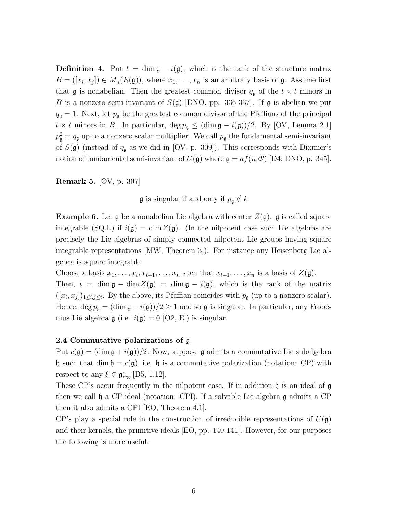**Definition 4.** Put  $t = \dim \mathfrak{g} - i(\mathfrak{g})$ , which is the rank of the structure matrix  $B = ([x_i, x_j]) \in M_n(R(\mathfrak{g}))$ , where  $x_1, \ldots, x_n$  is an arbitrary basis of  $\mathfrak{g}$ . Assume first that  $\mathfrak g$  is nonabelian. Then the greatest common divisor  $q_{\mathfrak g}$  of the  $t \times t$  minors in B is a nonzero semi-invariant of  $S(\mathfrak{g})$  [DNO, pp. 336-337]. If  $\mathfrak{g}$  is abelian we put  $q_{\rm g} = 1$ . Next, let  $p_{\rm g}$  be the greatest common divisor of the Pfaffians of the principal  $t \times t$  minors in B. In particular,  $\deg p_{\mathfrak{g}} \leq (\dim \mathfrak{g} - i(\mathfrak{g}))/2$ . By [OV, Lemma 2.1]  $p_{\mathfrak{g}}^2 = q_{\mathfrak{g}}$  up to a nonzero scalar multiplier. We call  $p_{\mathfrak{g}}$  the fundamental semi-invariant of  $S(\mathfrak{g})$  (instead of  $q_{\mathfrak{g}}$  as we did in [OV, p. 309]). This corresponds with Dixmier's notion of fundamental semi-invariant of  $U(\mathfrak{g})$  where  $\mathfrak{g} = af(n,\mathcal{C})$  [D4; DNO, p. 345].

Remark 5. [OV, p. 307]

 $\mathfrak g$  is singular if and only if  $p_{\mathfrak g} \notin k$ 

**Example 6.** Let  $\mathfrak{g}$  be a nonabelian Lie algebra with center  $Z(\mathfrak{g})$ .  $\mathfrak{g}$  is called square integrable (SQ.I.) if  $i(\mathfrak{g}) = \dim Z(\mathfrak{g})$ . (In the nilpotent case such Lie algebras are precisely the Lie algebras of simply connected nilpotent Lie groups having square integrable representations [MW, Theorem 3]). For instance any Heisenberg Lie algebra is square integrable.

Choose a basis  $x_1, \ldots, x_t, x_{t+1}, \ldots, x_n$  such that  $x_{t+1}, \ldots, x_n$  is a basis of  $Z(\mathfrak{g})$ .

Then,  $t = \dim \mathfrak{g} - \dim Z(\mathfrak{g}) = \dim \mathfrak{g} - i(\mathfrak{g})$ , which is the rank of the matrix  $([x_i, x_j])_{1 \leq i,j \leq t}$ . By the above, its Pfaffian coincides with  $p_{\mathfrak{g}}$  (up to a nonzero scalar). Hence, deg  $p_{\mathfrak{g}} = (\dim \mathfrak{g} - i(\mathfrak{g}))/2 \geq 1$  and so  $\mathfrak{g}$  is singular. In particular, any Frobenius Lie algebra  $\mathfrak g$  (i.e.  $i(\mathfrak g) = 0$  [O2, E]) is singular.

### 2.4 Commutative polarizations of g

Put  $c(\mathfrak{g}) = (\dim \mathfrak{g} + i(\mathfrak{g}))/2$ . Now, suppose  $\mathfrak{g}$  admits a commutative Lie subalgebra h such that dim  $\mathfrak{h} = c(\mathfrak{g})$ , i.e. h is a commutative polarization (notation: CP) with respect to any  $\xi \in \mathfrak{g}^*_{reg}$  [D5, 1.12].

These CP's occur frequently in the nilpotent case. If in addition  $\mathfrak h$  is an ideal of  $\mathfrak g$ then we call h a CP-ideal (notation: CPI). If a solvable Lie algebra g admits a CP then it also admits a CPI [EO, Theorem 4.1].

CP's play a special role in the construction of irreducible representations of  $U(\mathfrak{g})$ and their kernels, the primitive ideals [EO, pp. 140-141]. However, for our purposes the following is more useful.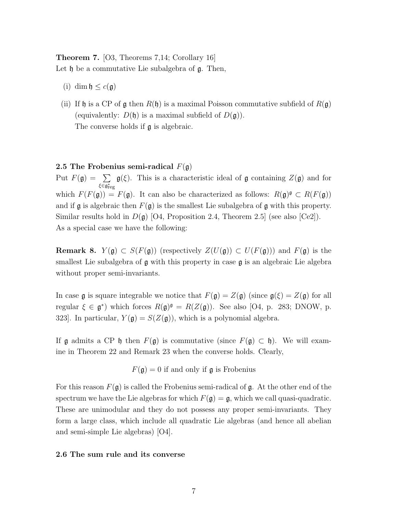# Theorem 7. [O3, Theorems 7,14; Corollary 16] Let  $\mathfrak h$  be a commutative Lie subalgebra of  $\mathfrak g$ . Then,

- (i) dim  $\mathfrak{h} \leq c(\mathfrak{g})$
- (ii) If h is a CP of g then  $R(\mathfrak{h})$  is a maximal Poisson commutative subfield of  $R(\mathfrak{g})$ (equivalently:  $D(\mathfrak{h})$  is a maximal subfield of  $D(\mathfrak{g})$ ). The converse holds if  $\mathfrak g$  is algebraic.

## 2.5 The Frobenius semi-radical  $F(\mathfrak{g})$

Put  $F(\mathfrak{g}) = \sum$ ξ∈ $\mathfrak{g}^*_\text{reg}$  $\mathfrak{g}(\xi)$ . This is a characteristic ideal of g containing  $Z(\mathfrak{g})$  and for which  $F(F(\mathfrak{g})) = F(\mathfrak{g})$ . It can also be characterized as follows:  $R(\mathfrak{g})^{\mathfrak{g}} \subset R(F(\mathfrak{g}))$ and if g is algebraic then  $F(g)$  is the smallest Lie subalgebra of g with this property. Similar results hold in  $D(\mathfrak{g})$  [O4, Proposition 2.4, Theorem 2.5] (see also [Ce2]). As a special case we have the following:

**Remark 8.**  $Y(\mathfrak{g}) \subset S(F(\mathfrak{g}))$  (respectively  $Z(U(\mathfrak{g})) \subset U(F(\mathfrak{g}))$ ) and  $F(\mathfrak{g})$  is the smallest Lie subalgebra of  $\mathfrak g$  with this property in case  $\mathfrak g$  is an algebraic Lie algebra without proper semi-invariants.

In case g is square integrable we notice that  $F(\mathfrak{g}) = Z(\mathfrak{g})$  (since  $\mathfrak{g}(\xi) = Z(\mathfrak{g})$  for all regular  $\xi \in \mathfrak{g}^*$ ) which forces  $R(\mathfrak{g})^{\mathfrak{g}} = R(Z(\mathfrak{g}))$ . See also [O4, p. 283; DNOW, p. 323]. In particular,  $Y(\mathfrak{g}) = S(Z(\mathfrak{g}))$ , which is a polynomial algebra.

If  $\mathfrak g$  admits a CP  $\mathfrak h$  then  $F(\mathfrak g)$  is commutative (since  $F(\mathfrak g) \subset \mathfrak h$ ). We will examine in Theorem 22 and Remark 23 when the converse holds. Clearly,

 $F(\mathfrak{g}) = 0$  if and only if  $\mathfrak{g}$  is Frobenius

For this reason  $F(\mathfrak{g})$  is called the Frobenius semi-radical of  $\mathfrak{g}$ . At the other end of the spectrum we have the Lie algebras for which  $F(\mathfrak{g}) = \mathfrak{g}$ , which we call quasi-quadratic. These are unimodular and they do not possess any proper semi-invariants. They form a large class, which include all quadratic Lie algebras (and hence all abelian and semi-simple Lie algebras) [O4].

#### 2.6 The sum rule and its converse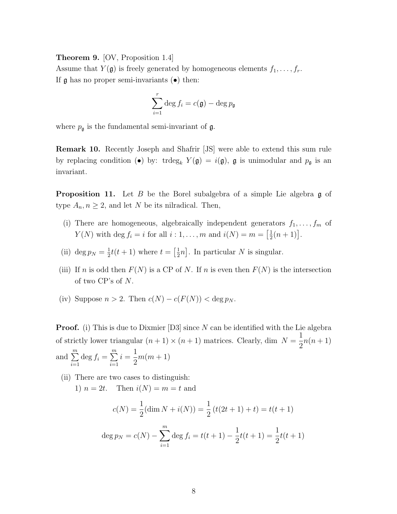Theorem 9. [OV, Proposition 1.4]

Assume that  $Y(\mathfrak{g})$  is freely generated by homogeneous elements  $f_1, \ldots, f_r$ . If  $\mathfrak g$  has no proper semi-invariants  $(\bullet)$  then:

$$
\sum_{i=1}^r \deg f_i = c(\mathfrak{g}) - \deg p_{\mathfrak{g}}
$$

where  $p_{\mathfrak{g}}$  is the fundamental semi-invariant of  $\mathfrak{g}$ .

Remark 10. Recently Joseph and Shafrir [JS] were able to extend this sum rule by replacing condition (•) by:  $trdeg_k Y(\mathfrak{g}) = i(\mathfrak{g}), \mathfrak{g}$  is unimodular and  $p_{\mathfrak{g}}$  is an invariant.

**Proposition 11.** Let B be the Borel subalgebra of a simple Lie algebra  $\mathfrak{g}$  of type  $A_n, n \geq 2$ , and let N be its nilradical. Then,

- (i) There are homogeneous, algebraically independent generators  $f_1, \ldots, f_m$  of  $Y(N)$  with deg  $f_i = i$  for all  $i: 1, ..., m$  and  $i(N) = m = \left[\frac{1}{2}\right]$  $\frac{1}{2}(n+1)$ .
- (ii) deg  $p_N = \frac{1}{2}$  $\frac{1}{2}t(t+1)$  where  $t=\left[\frac{1}{2}\right]$  $\frac{1}{2}n$ . In particular N is singular.
- (iii) If n is odd then  $F(N)$  is a CP of N. If n is even then  $F(N)$  is the intersection of two CP's of N.
- (iv) Suppose  $n > 2$ . Then  $c(N) c(F(N)) < \deg p_N$ .

**Proof.** (i) This is due to Dixmier [D3] since  $N$  can be identified with the Lie algebra of strictly lower triangular  $(n + 1) \times (n + 1)$  matrices. Clearly, dim  $N = \frac{1}{2}$ 2  $n(n+1)$ and  $\sum_{n=1}^{\infty}$  $i=1$  $\deg f_i = \sum^m$  $i=1$  $i =$ 1 2  $m(m+1)$ 

(ii) There are two cases to distinguish:

1)  $n = 2t$ . Then  $i(N) = m = t$  and

$$
c(N) = \frac{1}{2}(\dim N + i(N)) = \frac{1}{2}(t(2t+1) + t) = t(t+1)
$$

$$
\deg p_N = c(N) - \sum_{i=1}^m \deg f_i = t(t+1) - \frac{1}{2}t(t+1) = \frac{1}{2}t(t+1)
$$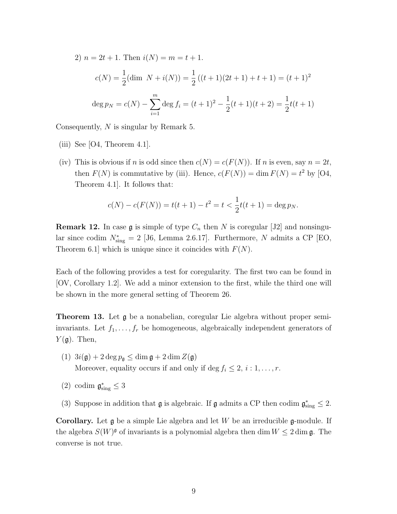2)  $n = 2t + 1$ . Then  $i(N) = m = t + 1$ .

$$
c(N) = \frac{1}{2}(\dim N + i(N)) = \frac{1}{2}((t+1)(2t+1) + t+1) = (t+1)^2
$$
  

$$
\deg p_N = c(N) - \sum_{i=1}^m \deg f_i = (t+1)^2 - \frac{1}{2}(t+1)(t+2) = \frac{1}{2}t(t+1)
$$

Consequently, N is singular by Remark 5.

- (iii) See  $[O4, Theorem 4.1]$ .
- (iv) This is obvious if n is odd since then  $c(N) = c(F(N))$ . If n is even, say  $n = 2t$ , then  $F(N)$  is commutative by (iii). Hence,  $c(F(N)) = \dim F(N) = t^2$  by [O4, Theorem 4.1]. It follows that:

$$
c(N) - c(F(N)) = t(t+1) - t^2 = t < \frac{1}{2}t(t+1) = \deg p_N.
$$

**Remark 12.** In case  $\mathfrak g$  is simple of type  $C_n$  then N is coregular [J2] and nonsingular since codim  $N_{\text{sing}}^* = 2$  [J6, Lemma 2.6.17]. Furthermore, N admits a CP [EO, Theorem 6.1 which is unique since it coincides with  $F(N)$ .

Each of the following provides a test for coregularity. The first two can be found in [OV, Corollary 1.2]. We add a minor extension to the first, while the third one will be shown in the more general setting of Theorem 26.

Theorem 13. Let g be a nonabelian, coregular Lie algebra without proper semiinvariants. Let  $f_1, \ldots, f_r$  be homogeneous, algebraically independent generators of  $Y(\mathfrak{g})$ . Then,

- (1)  $3i(\mathfrak{g}) + 2 \deg p_{\mathfrak{g}} \le \dim \mathfrak{g} + 2 \dim Z(\mathfrak{g})$ Moreover, equality occurs if and only if deg  $f_i \leq 2, i : 1, \ldots, r$ .
- (2) codim  $\mathfrak{g}^*_{sing} \leq 3$
- (3) Suppose in addition that  $\mathfrak g$  is algebraic. If  $\mathfrak g$  admits a CP then codim  $\mathfrak g^*_{sing} \leq 2$ .

**Corollary.** Let  $\mathfrak g$  be a simple Lie algebra and let W be an irreducible  $\mathfrak g$ -module. If the algebra  $S(W)^{\mathfrak{g}}$  of invariants is a polynomial algebra then dim  $W \leq 2 \dim \mathfrak{g}$ . The converse is not true.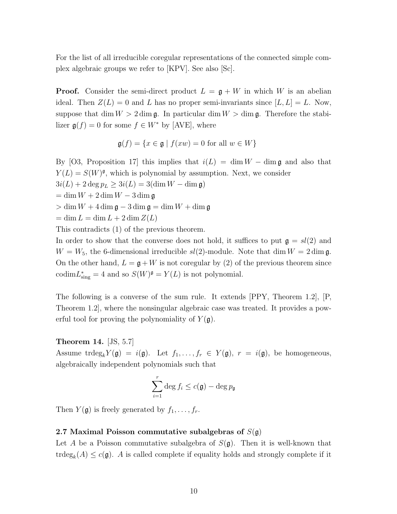For the list of all irreducible coregular representations of the connected simple complex algebraic groups we refer to [KPV]. See also [Sc].

**Proof.** Consider the semi-direct product  $L = \mathfrak{g} + W$  in which W is an abelian ideal. Then  $Z(L) = 0$  and L has no proper semi-invariants since  $[L, L] = L$ . Now, suppose that dim  $W > 2$  dim  $\mathfrak{g}$ . In particular dim  $W >$  dim  $\mathfrak{g}$ . Therefore the stabilizer  $\mathfrak{g}(f) = 0$  for some  $f \in W^*$  by [AVE], where

$$
\mathfrak{g}(f) = \{ x \in \mathfrak{g} \mid f(xw) = 0 \text{ for all } w \in W \}
$$

By [O3, Proposition 17] this implies that  $i(L) = \dim W - \dim \mathfrak{g}$  and also that  $Y(L) = S(W)^{\mathfrak{g}}$ , which is polynomial by assumption. Next, we consider  $3i(L) + 2 \deg p_L \ge 3i(L) = 3(\dim W - \dim \mathfrak{g})$ 

 $=\dim W + 2\dim W - 3\dim \mathfrak{g}$ 

- $> \dim W + 4 \dim \mathfrak{g} 3 \dim \mathfrak{g} = \dim W + \dim \mathfrak{g}$
- $=\dim L = \dim L + 2 \dim Z(L)$

This contradicts (1) of the previous theorem.

In order to show that the converse does not hold, it suffices to put  $\mathfrak{g} = sl(2)$  and  $W = W_5$ , the 6-dimensional irreducible  $sl(2)$ -module. Note that dim  $W = 2 \dim \mathfrak{g}$ . On the other hand,  $L = \mathfrak{g} + W$  is not coregular by (2) of the previous theorem since codim $L_{\text{sing}}^* = 4$  and so  $S(W)^{\mathfrak{g}} = Y(L)$  is not polynomial.

The following is a converse of the sum rule. It extends [PPY, Theorem 1.2], [P, Theorem 1.2], where the nonsingular algebraic case was treated. It provides a powerful tool for proving the polynomiality of  $Y(\mathfrak{g})$ .

### Theorem 14. [JS, 5.7]

Assume trdeg<sub>k</sub> $Y(\mathfrak{g}) = i(\mathfrak{g})$ . Let  $f_1, \ldots, f_r \in Y(\mathfrak{g})$ ,  $r = i(\mathfrak{g})$ , be homogeneous, algebraically independent polynomials such that

$$
\sum_{i=1}^r \deg f_i \le c(\mathfrak{g}) - \deg p_{\mathfrak{g}}
$$

Then  $Y(\mathfrak{g})$  is freely generated by  $f_1, \ldots, f_r$ .

# 2.7 Maximal Poisson commutative subalgebras of  $S(\mathfrak{g})$

Let A be a Poisson commutative subalgebra of  $S(\mathfrak{g})$ . Then it is well-known that trdeg<sub>k</sub> $(A) \leq c(\mathfrak{g})$ . A is called complete if equality holds and strongly complete if it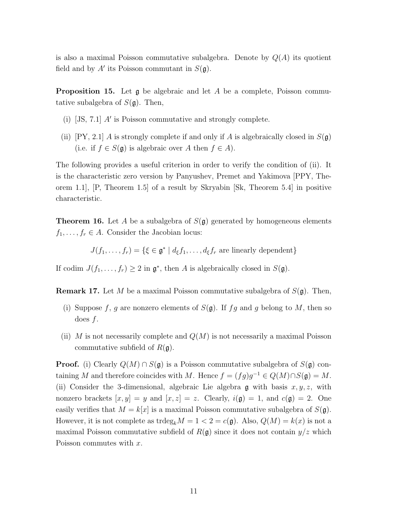is also a maximal Poisson commutative subalgebra. Denote by  $Q(A)$  its quotient field and by  $A'$  its Poisson commutant in  $S(\mathfrak{g})$ .

**Proposition 15.** Let  $\mathfrak{g}$  be algebraic and let A be a complete, Poisson commutative subalgebra of  $S(\mathfrak{g})$ . Then,

- (i)  $[JS, 7.1]$  A' is Poisson commutative and strongly complete.
- (ii) [PY, 2.1] A is strongly complete if and only if A is algebraically closed in  $S(\mathfrak{g})$ (i.e. if  $f \in S(\mathfrak{g})$  is algebraic over A then  $f \in A$ ).

The following provides a useful criterion in order to verify the condition of (ii). It is the characteristic zero version by Panyushev, Premet and Yakimova [PPY, Theorem 1.1], [P, Theorem 1.5] of a result by Skryabin [Sk, Theorem 5.4] in positive characteristic.

**Theorem 16.** Let A be a subalgebra of  $S(\mathfrak{g})$  generated by homogeneous elements  $f_1, \ldots, f_r \in A$ . Consider the Jacobian locus:

$$
J(f_1, \ldots, f_r) = \{ \xi \in \mathfrak{g}^* \mid d_{\xi} f_1, \ldots, d_{\xi} f_r \text{ are linearly dependent} \}
$$

If codim  $J(f_1, \ldots, f_r) \geq 2$  in  $\mathfrak{g}^*$ , then A is algebraically closed in  $S(\mathfrak{g})$ .

**Remark 17.** Let M be a maximal Poisson commutative subalgebra of  $S(\mathfrak{g})$ . Then,

- (i) Suppose f, g are nonzero elements of  $S(\mathfrak{g})$ . If fg and g belong to M, then so does f.
- (ii) M is not necessarily complete and  $Q(M)$  is not necessarily a maximal Poisson commutative subfield of  $R(\mathfrak{g})$ .

**Proof.** (i) Clearly  $Q(M) \cap S(\mathfrak{g})$  is a Poisson commutative subalgebra of  $S(\mathfrak{g})$  containing M and therefore coincides with M. Hence  $f = (fg)g^{-1} \in Q(M) \cap S(\mathfrak{g}) = M$ . (ii) Consider the 3-dimensional, algebraic Lie algebra  $\mathfrak g$  with basis  $x, y, z$ , with nonzero brackets  $[x, y] = y$  and  $[x, z] = z$ . Clearly,  $i(\mathfrak{g}) = 1$ , and  $c(\mathfrak{g}) = 2$ . One easily verifies that  $M = k[x]$  is a maximal Poisson commutative subalgebra of  $S(\mathfrak{g})$ . However, it is not complete as  $\text{trdeg}_k M = 1 < 2 = c(\mathfrak{g})$ . Also,  $Q(M) = k(x)$  is not a maximal Poisson commutative subfield of  $R(\mathfrak{g})$  since it does not contain  $y/z$  which Poisson commutes with x.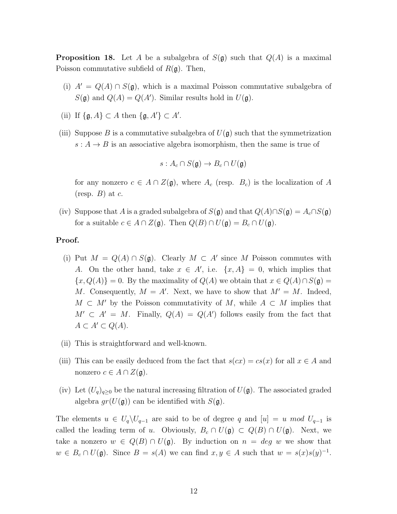**Proposition 18.** Let A be a subalgebra of  $S(\mathfrak{g})$  such that  $Q(A)$  is a maximal Poisson commutative subfield of  $R(\mathfrak{g})$ . Then,

- (i)  $A' = Q(A) \cap S(\mathfrak{g})$ , which is a maximal Poisson commutative subalgebra of  $S(\mathfrak{g})$  and  $Q(A) = Q(A')$ . Similar results hold in  $U(\mathfrak{g})$ .
- (ii) If  $\{\mathfrak{g}, A\} \subset A$  then  $\{\mathfrak{g}, A'\} \subset A'$ .
- (iii) Suppose B is a commutative subalgebra of  $U(\mathfrak{g})$  such that the symmetrization  $s: A \rightarrow B$  is an associative algebra isomorphism, then the same is true of

$$
s: A_c \cap S(\mathfrak{g}) \to B_c \cap U(\mathfrak{g})
$$

for any nonzero  $c \in A \cap Z(\mathfrak{g})$ , where  $A_c$  (resp.  $B_c$ ) is the localization of A  $(\text{resp. } B)$  at c.

(iv) Suppose that A is a graded subalgebra of  $S(\mathfrak{g})$  and that  $Q(A) \cap S(\mathfrak{g}) = A_c \cap S(\mathfrak{g})$ for a suitable  $c \in A \cap Z(\mathfrak{g})$ . Then  $Q(B) \cap U(\mathfrak{g}) = B_c \cap U(\mathfrak{g})$ .

# Proof.

- (i) Put  $M = Q(A) \cap S(\mathfrak{g})$ . Clearly  $M \subset A'$  since M Poisson commutes with A. On the other hand, take  $x \in A'$ , i.e.  $\{x, A\} = 0$ , which implies that  $\{x, Q(A)\} = 0$ . By the maximality of  $Q(A)$  we obtain that  $x \in Q(A) \cap S(\mathfrak{g}) =$ M. Consequently,  $M = A'$ . Next, we have to show that  $M' = M$ . Indeed,  $M \subset M'$  by the Poisson commutativity of M, while  $A \subset M$  implies that  $M' \subset A' = M$ . Finally,  $Q(A) = Q(A')$  follows easily from the fact that  $A \subset A' \subset Q(A)$ .
- (ii) This is straightforward and well-known.
- (iii) This can be easily deduced from the fact that  $s(cx) = cs(x)$  for all  $x \in A$  and nonzero  $c \in A \cap Z(\mathfrak{g}).$
- (iv) Let  $(U_q)_{q\geq 0}$  be the natural increasing filtration of  $U(\mathfrak{g})$ . The associated graded algebra  $gr(U(\mathfrak{g}))$  can be identified with  $S(\mathfrak{g})$ .

The elements  $u \in U_q \backslash U_{q-1}$  are said to be of degree q and  $[u] = u \mod U_{q-1}$  is called the leading term of u. Obviously,  $B_c \cap U(\mathfrak{g}) \subset Q(B) \cap U(\mathfrak{g})$ . Next, we take a nonzero  $w \in Q(B) \cap U(\mathfrak{g})$ . By induction on  $n = deg w$  we show that  $w \in B_c \cap U(\mathfrak{g})$ . Since  $B = s(A)$  we can find  $x, y \in A$  such that  $w = s(x)s(y)^{-1}$ .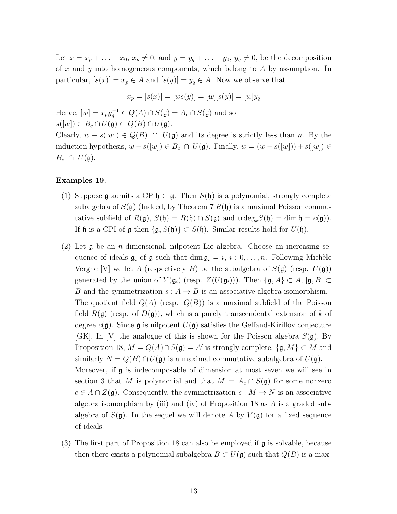Let  $x = x_p + \ldots + x_0$ ,  $x_p \neq 0$ , and  $y = y_q + \ldots + y_0$ ,  $y_q \neq 0$ , be the decomposition of x and y into homogeneous components, which belong to A by assumption. In particular,  $[s(x)] = x_p \in A$  and  $[s(y)] = y_q \in A$ . Now we observe that

$$
x_p = [s(x)] = [ws(y)] = [w][s(y)] = [w]y_q
$$

Hence,  $[w] = x_p y_q^{-1} \in Q(A) \cap S(\mathfrak{g}) = A_c \cap S(\mathfrak{g})$  and so  $s([w]) \in B_c \cap U(\mathfrak{g}) \subset Q(B) \cap U(\mathfrak{g}).$ 

Clearly,  $w - s([w]) \in Q(B) \cap U(\mathfrak{g})$  and its degree is strictly less than n. By the induction hypothesis,  $w - s([w]) \in B_c \cap U(\mathfrak{g})$ . Finally,  $w = (w - s([w])) + s([w]) \in B_c$  $B_c \cap U(\mathfrak{g}).$ 

#### Examples 19.

- (1) Suppose g admits a CP  $\mathfrak{h} \subset \mathfrak{g}$ . Then  $S(\mathfrak{h})$  is a polynomial, strongly complete subalgebra of  $S(\mathfrak{g})$  (Indeed, by Theorem 7  $R(\mathfrak{h})$  is a maximal Poisson commutative subfield of  $R(\mathfrak{g})$ ,  $S(\mathfrak{h}) = R(\mathfrak{h}) \cap S(\mathfrak{g})$  and  $trdeg_k S(\mathfrak{h}) = \dim \mathfrak{h} = c(\mathfrak{g})$ . If h is a CPI of  $\mathfrak g$  then  $\{\mathfrak g, S(\mathfrak h)\}\subset S(\mathfrak h)$ . Similar results hold for  $U(\mathfrak h)$ .
- (2) Let  $\mathfrak g$  be an *n*-dimensional, nilpotent Lie algebra. Choose an increasing sequence of ideals  $\mathfrak{g}_i$  of  $\mathfrak g$  such that dim  $\mathfrak{g}_i = i, i : 0, \ldots, n$ . Following Michèle Vergne [V] we let A (respectively B) be the subalgebra of  $S(\mathfrak{g})$  (resp.  $U(\mathfrak{g})$ ) generated by the union of  $Y(\mathfrak{g}_i)$  (resp.  $Z(U(\mathfrak{g}_i)))$ . Then  $\{\mathfrak{g}, A\} \subset A$ ,  $[\mathfrak{g}, B] \subset$ B and the symmetrization  $s: A \to B$  is an associative algebra isomorphism. The quotient field  $Q(A)$  (resp.  $Q(B)$ ) is a maximal subfield of the Poisson field  $R(\mathfrak{g})$  (resp. of  $D(\mathfrak{g})$ ), which is a purely transcendental extension of k of degree  $c(\mathfrak{g})$ . Since  $\mathfrak{g}$  is nilpotent  $U(\mathfrak{g})$  satisfies the Gelfand-Kirillov conjecture [GK]. In [V] the analogue of this is shown for the Poisson algebra  $S(\mathfrak{g})$ . By Proposition 18,  $M = Q(A) \cap S(\mathfrak{g}) = A'$  is strongly complete,  $\{\mathfrak{g}, M\} \subset M$  and similarly  $N = Q(B) \cap U(\mathfrak{g})$  is a maximal commutative subalgebra of  $U(\mathfrak{g})$ . Moreover, if g is indecomposable of dimension at most seven we will see in section 3 that M is polynomial and that  $M = A_c \cap S(\mathfrak{g})$  for some nonzero  $c \in A \cap Z(\mathfrak{g})$ . Consequently, the symmetrization  $s : M \to N$  is an associative algebra isomorphism by (iii) and (iv) of Proposition 18 as  $A$  is a graded subalgebra of  $S(\mathfrak{g})$ . In the sequel we will denote A by  $V(\mathfrak{g})$  for a fixed sequence of ideals.
- (3) The first part of Proposition 18 can also be employed if g is solvable, because then there exists a polynomial subalgebra  $B \subset U(\mathfrak{g})$  such that  $Q(B)$  is a max-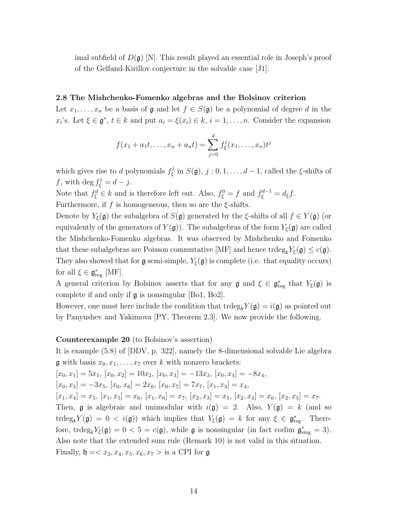imal subfield of  $D(\mathfrak{g})$  [N]. This result played an essential role in Joseph's proof of the Gelfand-Kirillov conjecture in the solvable case [J1].

## 2.8 The Mishchenko-Fomenko algebras and the Bolsinov criterion

Let  $x_1, \ldots, x_n$  be a basis of  $\mathfrak g$  and let  $f \in S(\mathfrak g)$  be a polynomial of degree d in the  $x_i$ 's. Let  $\xi \in \mathfrak{g}^*, t \in k$  and put  $a_i = \xi(x_i) \in k, i = 1, ..., n$ . Consider the expansion

$$
f(x_1 + a_1t, \dots, x_n + a_nt) = \sum_{j=0}^d f_{\xi}^j(x_1, \dots, x_n)t^j
$$

which gives rise to d polynomials  $f_{\xi}^{j}$  $S(\mathfrak{g}), j: 0, 1, \ldots, d-1$ , called the  $\xi$ -shifts of f, with deg  $f_{\xi}^{j} = d - j$ .

Note that  $f_{\xi}^{d} \in k$  and is therefore left out. Also,  $f_{\xi}^{0} = f$  and  $f_{\xi}^{d-1} = d_{\xi}f$ .

Furthermore, if f is homogeneous, then so are the  $\xi$ -shifts.

Denote by  $Y_{\xi}(\mathfrak{g})$  the subalgebra of  $S(\mathfrak{g})$  generated by the  $\xi$ -shifts of all  $f \in Y(\mathfrak{g})$  (or equivalently of the generators of  $Y(\mathfrak{g})$ . The subalgebras of the form  $Y_{\xi}(\mathfrak{g})$  are called the Mishchenko-Fomenko algebras. It was observed by Mishchenko and Fomenko that these subalgebras are Poisson commutative [MF] and hence  $\text{trdeg}_k Y_{\xi}(\mathfrak{g}) \leq c(\mathfrak{g})$ . They also showed that for  $\mathfrak g$  semi-simple,  $Y_{\xi}(\mathfrak g)$  is complete (i.e. that equality occurs) for all  $\xi \in \mathfrak{g}_{\text{reg}}^*$  [MF].

A general criterion by Bolsinov asserts that for any  $\mathfrak g$  and  $\xi \in \mathfrak g_{\text{reg}}^*$  that  $Y_{\xi}(\mathfrak g)$  is complete if and only if  $\mathfrak g$  is nonsingular [Bo1, Bo2].

However, one must here include the condition that  $\text{trdeg}_k Y(\mathfrak{g}) = i(\mathfrak{g})$  as pointed out by Panyushev and Yakimova [PY, Theorem 2.3]. We now provide the following.

### Counterexample 20 (to Bolsinov's assertion)

It is example (5.8) of [DDV, p. 322], namely the 8-dimensional solvable Lie algebra **g** with basis  $x_0, x_1, \ldots, x_7$  over k with nonzero brackets:  $[x_0, x_1] = 5x_1, [x_0, x_2] = 10x_2, [x_0, x_3] = -13x_3, [x_0, x_4] = -8x_4,$  $[x_0, x_5] = -3x_5, [x_0, x_6] = 2x_6, [x_0, x_7] = 7x_7, [x_1, x_3] = x_4,$  $[x_1, x_4] = x_5, [x_1, x_5] = x_6, [x_1, x_6] = x_7, [x_2, x_3] = x_5, [x_2, x_4] = x_6, [x_2, x_5] = x_7.$ Then, g is algebraic and unimodular with  $i(g) = 2$ . Also,  $Y(g) = k$  (and so trdeg<sub>k</sub> $Y(\mathfrak{g}) = 0 \langle i(\mathfrak{g}) \rangle$  which implies that  $Y_{\xi}(\mathfrak{g}) = k$  for any  $\xi \in \mathfrak{g}_{reg}^*$ . Therefore, trdeg<sub>k</sub> $Y_{\xi}(\mathfrak{g}) = 0 < 5 = c(\mathfrak{g})$ , while  $\mathfrak{g}$  is nonsingular (in fact codim  $\mathfrak{g}^*_{sing} = 3$ ). Also note that the extended sum rule (Remark 10) is not valid in this situation. Finally,  $\mathfrak{h} = \langle x_3, x_4, x_5, x_6, x_7 \rangle$  is a CPI for  $\mathfrak{g}$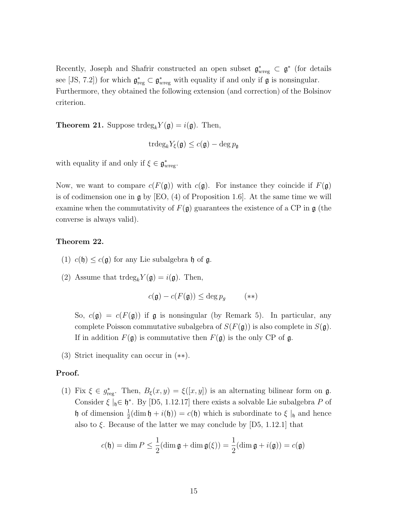Recently, Joseph and Shafrir constructed an open subset  $\mathfrak{g}_{wreg}^* \subset \mathfrak{g}^*$  (for details see [JS, 7.2]) for which  $\mathfrak{g}^*_{reg} \subset \mathfrak{g}^*_{wreg}$  with equality if and only if  $\mathfrak{g}$  is nonsingular. Furthermore, they obtained the following extension (and correction) of the Bolsinov criterion.

**Theorem 21.** Suppose  $\text{trdeg}_k Y(\mathfrak{g}) = i(\mathfrak{g})$ . Then,

$$
\mathrm{trdeg}_k Y_{\xi}(\mathfrak{g}) \leq c(\mathfrak{g}) - \deg p_{\mathfrak{g}}
$$

with equality if and only if  $\xi \in \mathfrak{g}^*_{wreg}$ .

Now, we want to compare  $c(F(\mathfrak{g}))$  with  $c(\mathfrak{g})$ . For instance they coincide if  $F(\mathfrak{g})$ is of codimension one in  $\frak{g}$  by [EO, (4) of Proposition 1.6. At the same time we will examine when the commutativity of  $F(\mathfrak{g})$  guarantees the existence of a CP in  $\mathfrak{g}$  (the converse is always valid).

#### Theorem 22.

- (1)  $c(\mathfrak{h}) \leq c(\mathfrak{g})$  for any Lie subalgebra  $\mathfrak{h}$  of  $\mathfrak{g}$ .
- (2) Assume that  $trdeg_k Y(\mathfrak{g}) = i(\mathfrak{g})$ . Then,

$$
c(\mathfrak{g}) - c(F(\mathfrak{g})) \le \deg p_g \qquad (**)
$$

So,  $c(\mathfrak{g}) = c(F(\mathfrak{g}))$  if  $\mathfrak{g}$  is nonsingular (by Remark 5). In particular, any complete Poisson commutative subalgebra of  $S(F(\mathfrak{g}))$  is also complete in  $S(\mathfrak{g})$ . If in addition  $F(\mathfrak{g})$  is commutative then  $F(\mathfrak{g})$  is the only CP of  $\mathfrak{g}$ .

(3) Strict inequality can occur in (∗∗).

### Proof.

(1) Fix  $\xi \in g_{\text{reg}}^*$ . Then,  $B_{\xi}(x, y) = \xi([x, y])$  is an alternating bilinear form on  $\mathfrak{g}$ . Consider  $\xi |_{\mathfrak{h}} \in \mathfrak{h}^*$ . By [D5, 1.12.17] there exists a solvable Lie subalgebra P of h of dimension  $\frac{1}{2}$ (dim h + i(h)) = c(h) which is subordinate to  $\xi |_{\mathfrak{h}}$  and hence also to  $\xi$ . Because of the latter we may conclude by [D5, 1.12.1] that

$$
c(\mathfrak{h}) = \dim P \le \frac{1}{2}(\dim \mathfrak{g} + \dim \mathfrak{g}(\xi)) = \frac{1}{2}(\dim \mathfrak{g} + i(\mathfrak{g})) = c(\mathfrak{g})
$$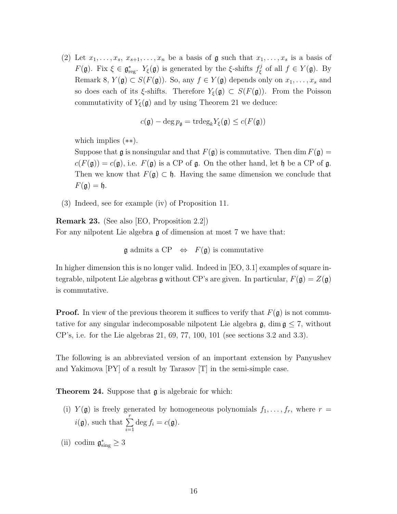(2) Let  $x_1, \ldots, x_s, x_{s+1}, \ldots, x_n$  be a basis of  $\mathfrak g$  such that  $x_1, \ldots, x_s$  is a basis of  $F(\mathfrak{g})$ . Fix  $\xi \in \mathfrak{g}^*_{\text{reg}}$ .  $Y_{\xi}(\mathfrak{g})$  is generated by the  $\xi$ -shifts  $f_{\xi}^j$  $\mathcal{L}_{\xi}^{j}$  of all  $f \in Y(\mathfrak{g})$ . By Remark 8,  $Y(\mathfrak{g}) \subset S(F(\mathfrak{g}))$ . So, any  $f \in Y(\mathfrak{g})$  depends only on  $x_1, \ldots, x_s$  and so does each of its  $\xi$ -shifts. Therefore  $Y_{\xi}(\mathfrak{g}) \subset S(F(\mathfrak{g}))$ . From the Poisson commutativity of  $Y_{\xi}(\mathfrak{g})$  and by using Theorem 21 we deduce:

$$
c(\mathfrak{g}) - \deg p_{\mathfrak{g}} = \operatorname{trdeg}_k Y_{\xi}(\mathfrak{g}) \le c(F(\mathfrak{g}))
$$

which implies (∗∗).

Suppose that  $\mathfrak g$  is nonsingular and that  $F(\mathfrak g)$  is commutative. Then dim  $F(\mathfrak g)$  =  $c(F(\mathfrak{g})) = c(\mathfrak{g})$ , i.e.  $F(\mathfrak{g})$  is a CP of  $\mathfrak{g}$ . On the other hand, let  $\mathfrak{h}$  be a CP of  $\mathfrak{g}$ . Then we know that  $F(\mathfrak{g}) \subset \mathfrak{h}$ . Having the same dimension we conclude that  $F(\mathfrak{g}) = \mathfrak{h}.$ 

(3) Indeed, see for example (iv) of Proposition 11.

Remark 23. (See also [EO, Proposition 2.2]) For any nilpotent Lie algebra g of dimension at most 7 we have that:

 $\mathfrak g$  admits a CP  $\Leftrightarrow$   $F(\mathfrak g)$  is commutative

In higher dimension this is no longer valid. Indeed in [EO, 3.1] examples of square integrable, nilpotent Lie algebras  $\mathfrak g$  without CP's are given. In particular,  $F(\mathfrak g) = Z(\mathfrak g)$ is commutative.

**Proof.** In view of the previous theorem it suffices to verify that  $F(\mathfrak{g})$  is not commutative for any singular indecomposable nilpotent Lie algebra  $\mathfrak{g}$ , dim  $\mathfrak{g} \leq 7$ , without CP's, i.e. for the Lie algebras 21, 69, 77, 100, 101 (see sections 3.2 and 3.3).

The following is an abbreviated version of an important extension by Panyushev and Yakimova [PY] of a result by Tarasov [T] in the semi-simple case.

Theorem 24. Suppose that  $\mathfrak g$  is algebraic for which:

(i)  $Y(\mathfrak{g})$  is freely generated by homogeneous polynomials  $f_1, \ldots, f_r$ , where  $r =$  $i(\mathfrak{g})$ , such that  $\sum_{r=1}^{r}$  $i=1$ deg  $f_i = c(\mathfrak{g}).$ 

(ii) codim  $\mathfrak{g}^*_{sing} \geq 3$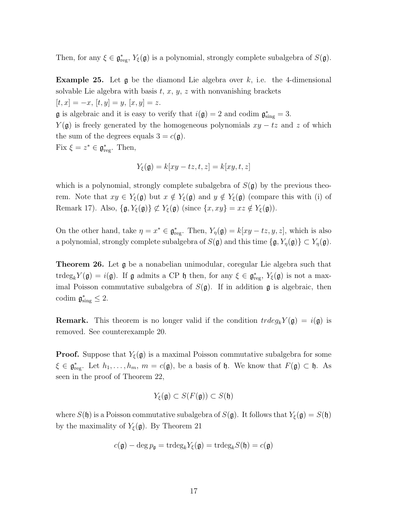Then, for any  $\xi \in \mathfrak{g}^*_{\text{reg}}, Y_{\xi}(\mathfrak{g})$  is a polynomial, strongly complete subalgebra of  $S(\mathfrak{g})$ .

**Example 25.** Let  $\mathfrak{g}$  be the diamond Lie algebra over k, i.e. the 4-dimensional solvable Lie algebra with basis  $t, x, y, z$  with nonvanishing brackets  $[t, x] = -x, [t, y] = y, [x, y] = z.$ 

**g** is algebraic and it is easy to verify that  $i(\mathfrak{g}) = 2$  and codim  $\mathfrak{g}^*_{sing} = 3$ .

 $Y(\mathfrak{g})$  is freely generated by the homogeneous polynomials  $xy - tz$  and z of which the sum of the degrees equals  $3 = c(g)$ .

Fix  $\xi = z^* \in \mathfrak{g}^*_{\text{reg}}$ . Then,

$$
Y_{\xi}(\mathfrak{g}) = k[xy - tz, t, z] = k[xy, t, z]
$$

which is a polynomial, strongly complete subalgebra of  $S(\mathfrak{g})$  by the previous theorem. Note that  $xy \in Y_{\xi}(\mathfrak{g})$  but  $x \notin Y_{\xi}(\mathfrak{g})$  and  $y \notin Y_{\xi}(\mathfrak{g})$  (compare this with (i) of Remark 17). Also,  $\{\mathfrak{g}, Y_{\xi}(\mathfrak{g})\} \not\subset Y_{\xi}(\mathfrak{g})$  (since  $\{x, xy\} = xz \notin Y_{\xi}(\mathfrak{g})$ ).

On the other hand, take  $\eta = x^* \in \mathfrak{g}^*_{\text{reg}}$ . Then,  $Y_{\eta}(\mathfrak{g}) = k[xy - tz, y, z]$ , which is also a polynomial, strongly complete subalgebra of  $S(\mathfrak{g})$  and this time  $\{\mathfrak{g}, Y_{\eta}(\mathfrak{g})\} \subset Y_{\eta}(\mathfrak{g})$ .

Theorem 26. Let g be a nonabelian unimodular, coregular Lie algebra such that trdeg<sub>k</sub> $Y(\mathfrak{g}) = i(\mathfrak{g})$ . If  $\mathfrak g$  admits a CP  $\mathfrak h$  then, for any  $\xi \in \mathfrak{g}^*_{reg}$ ,  $Y_{\xi}(\mathfrak g)$  is not a maximal Poisson commutative subalgebra of  $S(\mathfrak{g})$ . If in addition  $\mathfrak{g}$  is algebraic, then codim  $\mathfrak{g}^*_{\text{sing}} \leq 2$ .

**Remark.** This theorem is no longer valid if the condition  $trdeg_k Y(\mathfrak{g}) = i(\mathfrak{g})$  is removed. See counterexample 20.

**Proof.** Suppose that  $Y_{\xi}(\mathfrak{g})$  is a maximal Poisson commutative subalgebra for some  $\xi \in \mathfrak{g}^*_{\text{reg}}$ . Let  $h_1, \ldots, h_m$ ,  $m = c(\mathfrak{g})$ , be a basis of  $\mathfrak{h}$ . We know that  $F(\mathfrak{g}) \subset \mathfrak{h}$ . As seen in the proof of Theorem 22,

$$
Y_{\xi}(\mathfrak{g}) \subset S(F(\mathfrak{g})) \subset S(\mathfrak{h})
$$

where  $S(\mathfrak{h})$  is a Poisson commutative subalgebra of  $S(\mathfrak{g})$ . It follows that  $Y_{\xi}(\mathfrak{g}) = S(\mathfrak{h})$ by the maximality of  $Y_{\xi}(\mathfrak{g})$ . By Theorem 21

$$
c(\mathfrak{g}) - \deg p_{\mathfrak{g}} = \operatorname{trdeg}_k Y_{\xi}(\mathfrak{g}) = \operatorname{trdeg}_k S(\mathfrak{h}) = c(\mathfrak{g})
$$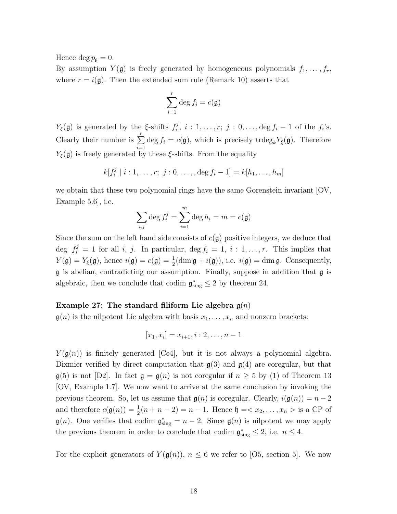Hence deg  $p_{\mathfrak{g}} = 0$ .

By assumption  $Y(\mathfrak{g})$  is freely generated by homogeneous polynomials  $f_1, \ldots, f_r$ , where  $r = i(\mathfrak{g})$ . Then the extended sum rule (Remark 10) asserts that

$$
\sum_{i=1}^r \deg f_i = c(\mathfrak{g})
$$

 $Y_{\xi}(\mathfrak{g})$  is generated by the  $\xi$ -shifts  $f_i^j$  $f_i^j, i: 1, \ldots, r; j: 0, \ldots, \deg f_i - 1$  of the  $f_i$ 's. Clearly their number is  $\sum_{r=1}^{r}$  $\sum_{i=1} \deg f_i = c(\mathfrak{g})$ , which is precisely trdeg<sub>k</sub> $Y_{\xi}(\mathfrak{g})$ . Therefore  $Y_{\xi}(\mathfrak{g})$  is freely generated by these  $\xi$ -shifts. From the equality

$$
k[f_i^j \mid i:1,\ldots,r; j:0,\ldots,\deg f_i-1] = k[h_1,\ldots,h_m]
$$

we obtain that these two polynomial rings have the same Gorenstein invariant  $[OV,$ Example 5.6], i.e.

$$
\sum_{i,j} \deg f_i^j = \sum_{i=1}^m \deg h_i = m = c(\mathfrak{g})
$$

Since the sum on the left hand side consists of  $c(\mathfrak{g})$  positive integers, we deduce that deg  $f_i^j = 1$  for all i, j. In particular, deg  $f_i = 1, i : 1, \ldots, r$ . This implies that  $Y(\mathfrak{g}) = Y_{\xi}(\mathfrak{g})$ , hence  $i(\mathfrak{g}) = c(\mathfrak{g}) = \frac{1}{2}(\dim \mathfrak{g} + i(\mathfrak{g}))$ , i.e.  $i(\mathfrak{g}) = \dim \mathfrak{g}$ . Consequently,  $\mathfrak g$  is abelian, contradicting our assumption. Finally, suppose in addition that  $\mathfrak g$  is algebraic, then we conclude that codim  $\mathfrak{g}^*_{sing} \leq 2$  by theorem 24.

### Example 27: The standard filiform Lie algebra  $\mathfrak{g}(n)$

 $\mathfrak{g}(n)$  is the nilpotent Lie algebra with basis  $x_1, \ldots, x_n$  and nonzero brackets:

$$
[x_1, x_i] = x_{i+1}, i: 2, \dots, n-1
$$

 $Y(\mathfrak{g}(n))$  is finitely generated [Ce4], but it is not always a polynomial algebra. Dixmier verified by direct computation that  $g(3)$  and  $g(4)$  are coregular, but that  $\mathfrak{g}(5)$  is not [D2]. In fact  $\mathfrak{g} = \mathfrak{g}(n)$  is not coregular if  $n \geq 5$  by (1) of Theorem 13 [OV, Example 1.7]. We now want to arrive at the same conclusion by invoking the previous theorem. So, let us assume that  $g(n)$  is coregular. Clearly,  $i(g(n)) = n - 2$ and therefore  $c(\mathfrak{g}(n)) = \frac{1}{2}(n + n - 2) = n - 1$ . Hence  $\mathfrak{h} = \langle x_2, \dots, x_n \rangle$  is a CP of  $\mathfrak{g}(n)$ . One verifies that codim  $\mathfrak{g}_{sing}^* = n-2$ . Since  $\mathfrak{g}(n)$  is nilpotent we may apply the previous theorem in order to conclude that codim  $\mathfrak{g}^*_{sing} \leq 2$ , i.e.  $n \leq 4$ .

For the explicit generators of  $Y(\mathfrak{g}(n))$ ,  $n \leq 6$  we refer to [O5, section 5]. We now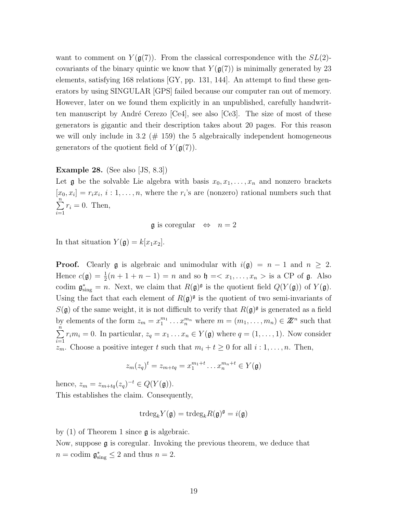want to comment on  $Y(\mathfrak{g}(7))$ . From the classical correspondence with the  $SL(2)$ covariants of the binary quintic we know that  $Y(g(7))$  is minimally generated by 23 elements, satisfying 168 relations [GY, pp. 131, 144]. An attempt to find these generators by using SINGULAR [GPS] failed because our computer ran out of memory. However, later on we found them explicitly in an unpublished, carefully handwritten manuscript by André Cerezo  $[Ce4]$ , see also  $[Ce3]$ . The size of most of these generators is gigantic and their description takes about 20 pages. For this reason we will only include in 3.2 ( $#$  159) the 5 algebraically independent homogeneous generators of the quotient field of  $Y(\mathfrak{g}(7))$ .

## Example 28. (See also [JS, 8.3])

Let **g** be the solvable Lie algebra with basis  $x_0, x_1, \ldots, x_n$  and nonzero brackets  $[x_0, x_i] = r_i x_i, i : 1, \ldots, n$ , where the  $r_i$ 's are (nonzero) rational numbers such that  $\sum_{n=1}^{\infty}$  $i=1$  $r_i = 0$ . Then,

 $\mathfrak g$  is coregular  $\Leftrightarrow n=2$ 

In that situation  $Y(\mathfrak{g}) = k[x_1x_2]$ .

**Proof.** Clearly **g** is algebraic and unimodular with  $i(\mathfrak{g}) = n - 1$  and  $n \geq 2$ . Hence  $c(\mathfrak{g}) = \frac{1}{2}(n+1+n-1) = n$  and so  $\mathfrak{h} = \langle x_1, \ldots, x_n \rangle$  is a CP of  $\mathfrak{g}$ . Also codim  $\mathfrak{g}^*_{sing} = n$ . Next, we claim that  $R(\mathfrak{g})^{\mathfrak{g}}$  is the quotient field  $Q(Y(\mathfrak{g}))$  of  $Y(\mathfrak{g})$ . Using the fact that each element of  $R(\mathfrak{g})^{\mathfrak{g}}$  is the quotient of two semi-invariants of  $S(\mathfrak{g})$  of the same weight, it is not difficult to verify that  $R(\mathfrak{g})^{\mathfrak{g}}$  is generated as a field by elements of the form  $z_m = x_1^{m_1} \dots x_n^{m_n}$  where  $m = (m_1, \dots, m_n) \in \mathbb{Z}^n$  such that  $\sum_{n=1}^{\infty}$  $i=1$  $r_i m_i = 0$ . In particular,  $z_q = x_1 \dots x_n \in Y(\mathfrak{g})$  where  $q = (1, \dots, 1)$ . Now consider  $z_m$ . Choose a positive integer t such that  $m_i + t \geq 0$  for all  $i : 1, \ldots, n$ . Then,

$$
z_m(z_q)^t = z_{m+tq} = x_1^{m_1+t} \dots x_n^{m_n+t} \in Y(\mathfrak{g})
$$

hence,  $z_m = z_{m+tq}(z_q)^{-t} \in Q(Y(\mathfrak{g})).$ This establishes the claim. Consequently,

$$
\mathrm{trdeg}_k Y(\mathfrak{g}) = \mathrm{trdeg}_k R(\mathfrak{g})^{\mathfrak{g}} = i(\mathfrak{g})
$$

by (1) of Theorem 1 since g is algebraic.

Now, suppose g is coregular. Invoking the previous theorem, we deduce that  $n = \text{codim } \mathfrak{g}^*_{\text{sing}} \leq 2 \text{ and thus } n = 2.$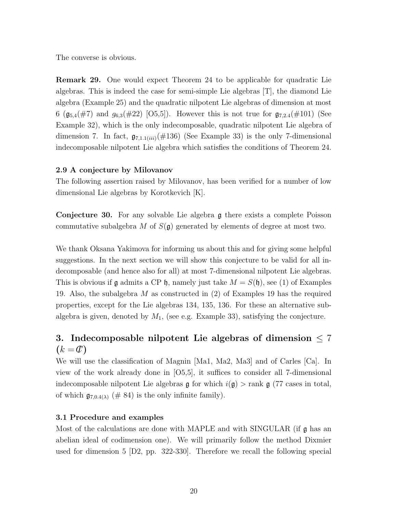The converse is obvious.

Remark 29. One would expect Theorem 24 to be applicable for quadratic Lie algebras. This is indeed the case for semi-simple Lie algebras [T], the diamond Lie algebra (Example 25) and the quadratic nilpotent Lie algebras of dimension at most 6 ( $\mathfrak{g}_{5,4}(\#7)$  and  $g_{6,3}(\#22)$  [O5,5]). However this is not true for  $\mathfrak{g}_{7,2.4}(\#101)$  (See Example 32), which is the only indecomposable, quadratic nilpotent Lie algebra of dimension 7. In fact,  $\mathfrak{g}_{7,1.1(iii)}(\#136)$  (See Example 33) is the only 7-dimensional indecomposable nilpotent Lie algebra which satisfies the conditions of Theorem 24.

## 2.9 A conjecture by Milovanov

The following assertion raised by Milovanov, has been verified for a number of low dimensional Lie algebras by Korotkevich [K].

Conjecture 30. For any solvable Lie algebra g there exists a complete Poisson commutative subalgebra M of  $S(\mathfrak{g})$  generated by elements of degree at most two.

We thank Oksana Yakimova for informing us about this and for giving some helpful suggestions. In the next section we will show this conjecture to be valid for all indecomposable (and hence also for all) at most 7-dimensional nilpotent Lie algebras. This is obvious if  $\mathfrak g$  admits a CP  $\mathfrak h$ , namely just take  $M = S(\mathfrak h)$ , see (1) of Examples 19. Also, the subalgebra  $M$  as constructed in (2) of Examples 19 has the required properties, except for the Lie algebras 134, 135, 136. For these an alternative subalgebra is given, denoted by  $M_1$ , (see e.g. Example 33), satisfying the conjecture.

# 3. Indecomposable nilpotent Lie algebras of dimension  $\leq 7$  $(k = 0)$

We will use the classification of Magnin [Ma1, Ma2, Ma3] and of Carles [Ca]. In view of the work already done in [O5,5], it suffices to consider all 7-dimensional indecomposable nilpotent Lie algebras  $\mathfrak g$  for which  $i(\mathfrak g) > \text{rank } \mathfrak g$  (77 cases in total, of which  $\mathfrak{g}_{7,0.4(\lambda)}$  (# 84) is the only infinite family).

# 3.1 Procedure and examples

Most of the calculations are done with MAPLE and with SINGULAR (if  $\mathfrak g$  has an abelian ideal of codimension one). We will primarily follow the method Dixmier used for dimension 5 [D2, pp. 322-330]. Therefore we recall the following special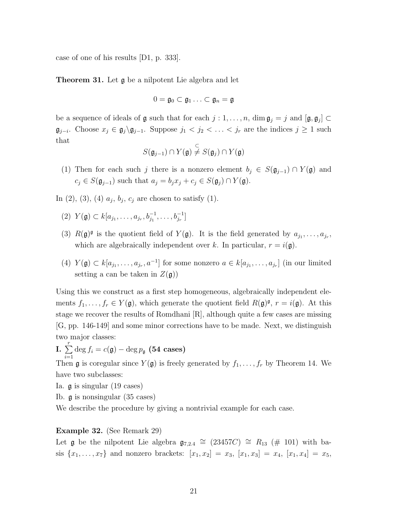case of one of his results [D1, p. 333].

Theorem 31. Let g be a nilpotent Lie algebra and let

$$
0=\mathfrak{g}_0\subset\mathfrak{g}_1\ldots\subset\mathfrak{g}_n=\mathfrak{g}
$$

be a sequence of ideals of  $\mathfrak g$  such that for each  $j:1,\ldots,n$ ,  $\dim \mathfrak g_j = j$  and  $[\mathfrak g, \mathfrak g_j] \subset$  $\mathfrak{g}_{j-i}$ . Choose  $x_j \in \mathfrak{g}_j \backslash \mathfrak{g}_{j-1}$ . Suppose  $j_1 < j_2 < \ldots < j_r$  are the indices  $j \geq 1$  such that

$$
S(\mathfrak{g}_{j-1}) \cap Y(\mathfrak{g}) \stackrel{\subset}{\neq} S(\mathfrak{g}_j) \cap Y(\mathfrak{g})
$$

(1) Then for each such j there is a nonzero element  $b_j \in S(\mathfrak{g}_{j-1}) \cap Y(\mathfrak{g})$  and  $c_j \in S(\mathfrak{g}_{j-1})$  such that  $a_j = b_j x_j + c_j \in S(\mathfrak{g}_j) \cap Y(\mathfrak{g})$ .

In (2), (3), (4)  $a_j, b_j, c_j$  are chosen to satisfy (1).

- (2)  $Y(\mathfrak{g}) \subset k[a_{j_1}, \ldots, a_{j_r}, b_{j_1}^{-1}, \ldots, b_{j_r}^{-1}]$
- (3)  $R(\mathfrak{g})^{\mathfrak{g}}$  is the quotient field of  $Y(\mathfrak{g})$ . It is the field generated by  $a_{j_1}, \ldots, a_{j_r}$ , which are algebraically independent over k. In particular,  $r = i(\mathfrak{g})$ .
- (4)  $Y(\mathfrak{g}) \subset k[a_{j_1}, \ldots, a_{j_r}, a^{-1}]$  for some nonzero  $a \in k[a_{j_1}, \ldots, a_{j_r}]$  (in our limited setting a can be taken in  $Z(\mathfrak{g})$

Using this we construct as a first step homogeneous, algebraically independent elements  $f_1, \ldots, f_r \in Y(\mathfrak{g})$ , which generate the quotient field  $R(\mathfrak{g})^{\mathfrak{g}}, r = i(\mathfrak{g})$ . At this stage we recover the results of Romdhani [R], although quite a few cases are missing [G, pp. 146-149] and some minor corrections have to be made. Next, we distinguish two major classes:

I.  $\sum_{r=1}^{r}$  $i=1$  $\deg f_i = c(\mathfrak{g}) - \deg p_{\mathfrak{g}}$  (54 cases)

Then g is coregular since  $Y(\mathfrak{g})$  is freely generated by  $f_1, \ldots, f_r$  by Theorem 14. We have two subclasses:

- Ia. g is singular (19 cases)
- Ib. g is nonsingular (35 cases)

We describe the procedure by giving a nontrivial example for each case.

#### Example 32. (See Remark 29)

Let **g** be the nilpotent Lie algebra  $\mathfrak{g}_{7,2.4} \cong (23457C) \cong R_{13} \neq (101)$  with basis  $\{x_1, \ldots, x_7\}$  and nonzero brackets:  $[x_1, x_2] = x_3$ ,  $[x_1, x_3] = x_4$ ,  $[x_1, x_4] = x_5$ ,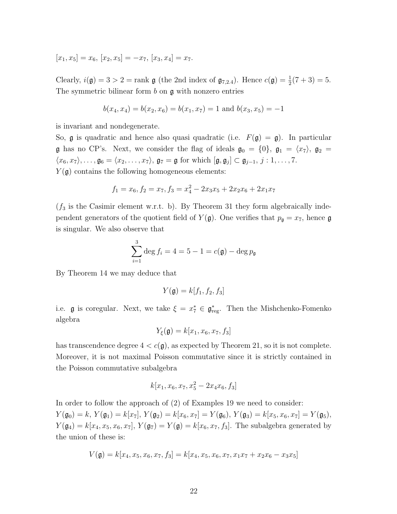$[x_1, x_5] = x_6$ ,  $[x_2, x_5] = -x_7$ ,  $[x_3, x_4] = x_7$ .

Clearly,  $i(\mathfrak{g}) = 3 > 2 = \text{rank } \mathfrak{g}$  (the 2nd index of  $\mathfrak{g}_{7,2.4}$ ). Hence  $c(\mathfrak{g}) = \frac{1}{2}(7 + 3) = 5$ . The symmetric bilinear form  $b$  on  $\mathfrak g$  with nonzero entries

$$
b(x_4, x_4) = b(x_2, x_6) = b(x_1, x_7) = 1
$$
 and  $b(x_3, x_5) = -1$ 

is invariant and nondegenerate.

So,  $\mathfrak g$  is quadratic and hence also quasi quadratic (i.e.  $F(\mathfrak g) = \mathfrak g$ ). In particular **g** has no CP's. Next, we consider the flag of ideals  $\mathfrak{g}_0 = \{0\}$ ,  $\mathfrak{g}_1 = \langle x_7 \rangle$ ,  $\mathfrak{g}_2 =$  $\langle x_6, x_7 \rangle, \ldots, \mathfrak{g}_6 = \langle x_2, \ldots, x_7 \rangle, \mathfrak{g}_7 = \mathfrak{g}$  for which  $[\mathfrak{g}, \mathfrak{g}_j] \subset \mathfrak{g}_{j-1}, j : 1, \ldots, 7$ .  $Y(\mathfrak{g})$  contains the following homogeneous elements:

$$
f_1 = x_6, f_2 = x_7, f_3 = x_4^2 - 2x_3x_5 + 2x_2x_6 + 2x_1x_7
$$

 $(f_3$  is the Casimir element w.r.t. b). By Theorem 31 they form algebraically independent generators of the quotient field of  $Y(\mathfrak{g})$ . One verifies that  $p_{\mathfrak{g}} = x_7$ , hence  $\mathfrak{g}$ is singular. We also observe that

$$
\sum_{i=1}^{3} \deg f_i = 4 = 5 - 1 = c(\mathfrak{g}) - \deg p_{\mathfrak{g}}
$$

By Theorem 14 we may deduce that

$$
Y(\mathfrak{g}) = k[f_1, f_2, f_3]
$$

i.e. **g** is coregular. Next, we take  $\xi = x_7^* \in \mathfrak{g}_{\text{reg}}^*$ . Then the Mishchenko-Fomenko algebra

$$
Y_{\xi}(\mathfrak{g}) = k[x_1, x_6, x_7, f_3]
$$

has transcendence degree  $4 < c(\mathfrak{g})$ , as expected by Theorem 21, so it is not complete. Moreover, it is not maximal Poisson commutative since it is strictly contained in the Poisson commutative subalgebra

$$
k[x_1, x_6, x_7, x_5^2 - 2x_4x_6, f_3]
$$

In order to follow the approach of (2) of Examples 19 we need to consider:  $Y(\mathfrak{g}_0) = k, Y(\mathfrak{g}_1) = k[x_7], Y(\mathfrak{g}_2) = k[x_6, x_7] = Y(\mathfrak{g}_6), Y(\mathfrak{g}_3) = k[x_5, x_6, x_7] = Y(\mathfrak{g}_5),$  $Y(\mathfrak{g}_4) = k[x_4, x_5, x_6, x_7], Y(\mathfrak{g}_7) = Y(\mathfrak{g}) = k[x_6, x_7, f_3].$  The subalgebra generated by the union of these is:

$$
V(\mathfrak{g}) = k[x_4, x_5, x_6, x_7, f_3] = k[x_4, x_5, x_6, x_7, x_1x_7 + x_2x_6 - x_3x_5]
$$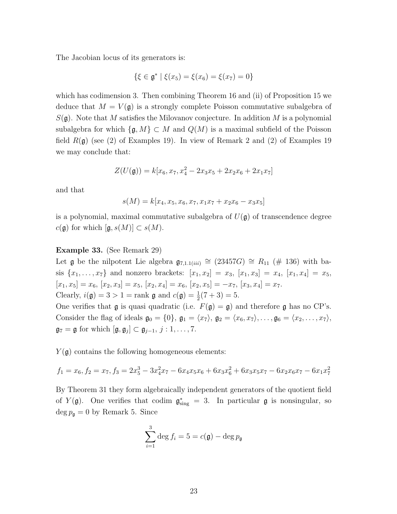The Jacobian locus of its generators is:

$$
\{\xi \in \mathfrak{g}^* \mid \xi(x_5) = \xi(x_6) = \xi(x_7) = 0\}
$$

which has codimension 3. Then combining Theorem 16 and (ii) of Proposition 15 we deduce that  $M = V(\mathfrak{g})$  is a strongly complete Poisson commutative subalgebra of  $S(\mathfrak{g})$ . Note that M satisfies the Milovanov conjecture. In addition M is a polynomial subalgebra for which  $\{\mathfrak{g}, M\} \subset M$  and  $Q(M)$  is a maximal subfield of the Poisson field  $R(\mathfrak{g})$  (see (2) of Examples 19). In view of Remark 2 and (2) of Examples 19 we may conclude that:

$$
Z(U(\mathfrak{g})) = k[x_6, x_7, x_4^2 - 2x_3x_5 + 2x_2x_6 + 2x_1x_7]
$$

and that

$$
s(M) = k[x_4, x_5, x_6, x_7, x_1x_7 + x_2x_6 - x_3x_5]
$$

is a polynomial, maximal commutative subalgebra of  $U(\mathfrak{g})$  of transcendence degree  $c(\mathfrak{g})$  for which  $[\mathfrak{g}, s(M)] \subset s(M)$ .

## Example 33. (See Remark 29)

Let **g** be the nilpotent Lie algebra  $\mathfrak{g}_{7,1.1(iii)} \cong (23457G) \cong R_{11} \ (\# 136)$  with basis  $\{x_1, \ldots, x_7\}$  and nonzero brackets:  $[x_1, x_2] = x_3$ ,  $[x_1, x_3] = x_4$ ,  $[x_1, x_4] = x_5$ ,  $[x_1, x_5] = x_6, [x_2, x_3] = x_5, [x_2, x_4] = x_6, [x_2, x_5] = -x_7, [x_3, x_4] = x_7.$ Clearly,  $i(\mathfrak{g}) = 3 > 1$  = rank  $\mathfrak{g}$  and  $c(\mathfrak{g}) = \frac{1}{2}(7 + 3) = 5$ .

One verifies that  $\mathfrak g$  is quasi quadratic (i.e.  $F(\mathfrak g) = \mathfrak g$ ) and therefore  $\mathfrak g$  has no CP's. Consider the flag of ideals  $\mathfrak{g}_0 = \{0\}$ ,  $\mathfrak{g}_1 = \langle x_7 \rangle$ ,  $\mathfrak{g}_2 = \langle x_6, x_7 \rangle$ , ...,  $\mathfrak{g}_6 = \langle x_2, \ldots, x_7 \rangle$ ,  $\mathfrak{g}_7 = \mathfrak{g}$  for which  $[\mathfrak{g}, \mathfrak{g}_j] \subset \mathfrak{g}_{j-1}, j : 1, \ldots, 7$ .

 $Y(\mathfrak{g})$  contains the following homogeneous elements:

$$
f_1 = x_6, f_2 = x_7, f_3 = 2x_5^3 - 3x_4^2x_7 - 6x_4x_5x_6 + 6x_3x_6^2 + 6x_3x_5x_7 - 6x_2x_6x_7 - 6x_1x_7^2
$$

By Theorem 31 they form algebraically independent generators of the quotient field of  $Y(\mathfrak{g})$ . One verifies that codim  $\mathfrak{g}_{sing}^* = 3$ . In particular  $\mathfrak{g}$  is nonsingular, so  $\deg p_{\mathfrak{g}} = 0$  by Remark 5. Since

$$
\sum_{i=1}^{3} \deg f_i = 5 = c(\mathfrak{g}) - \deg p_{\mathfrak{g}}
$$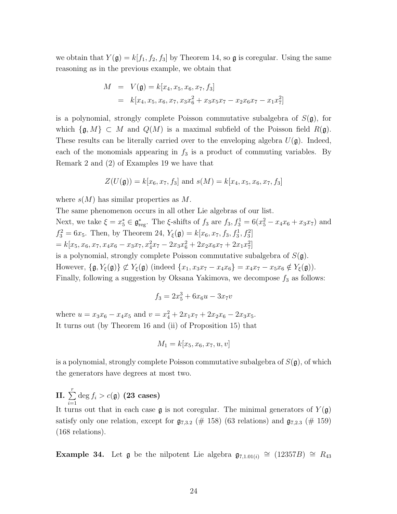we obtain that  $Y(\mathfrak{g}) = k[f_1, f_2, f_3]$  by Theorem 14, so  $\mathfrak{g}$  is coregular. Using the same reasoning as in the previous example, we obtain that

$$
M = V(\mathfrak{g}) = k[x_4, x_5, x_6, x_7, f_3]
$$
  
=  $k[x_4, x_5, x_6, x_7, x_3x_6^2 + x_3x_5x_7 - x_2x_6x_7 - x_1x_7^2]$ 

is a polynomial, strongly complete Poisson commutative subalgebra of  $S(\mathfrak{g})$ , for which  $\{\mathfrak{g}, M\} \subset M$  and  $Q(M)$  is a maximal subfield of the Poisson field  $R(\mathfrak{g})$ . These results can be literally carried over to the enveloping algebra  $U(\mathfrak{g})$ . Indeed, each of the monomials appearing in  $f_3$  is a product of commuting variables. By Remark 2 and (2) of Examples 19 we have that

$$
Z(U(\mathfrak{g})) = k[x_6, x_7, f_3] \text{ and } s(M) = k[x_4, x_5, x_6, x_7, f_3]
$$

where  $s(M)$  has similar properties as M.

The same phenomenon occurs in all other Lie algebras of our list. Next, we take  $\xi = x_5^* \in \mathfrak{g}_{reg}^*$ . The  $\xi$ -shifts of  $f_3$  are  $f_3, f_3^1 = 6(x_5^2 - x_4x_6 + x_3x_7)$  and  $f_3^2 = 6x_5$ . Then, by Theorem 24,  $Y_{\xi}(\mathfrak{g}) = k[x_6, x_7, f_3, f_3^1, f_3^2]$  $= k[x_5, x_6, x_7, x_4x_6 - x_3x_7, x_4^2x_7 - 2x_3x_6^2 + 2x_2x_6x_7 + 2x_1x_7^2]$ is a polynomial, strongly complete Poisson commutative subalgebra of  $S(\mathfrak{g})$ . However,  $\{\mathfrak{g}, Y_{\xi}(\mathfrak{g})\}\nsubseteq Y_{\xi}(\mathfrak{g})$  (indeed  $\{x_1, x_3x_7 - x_4x_6\} = x_4x_7 - x_5x_6 \notin Y_{\xi}(\mathfrak{g})$ ). Finally, following a suggestion by Oksana Yakimova, we decompose  $f_3$  as follows:

$$
f_3 = 2x_5^3 + 6x_6u - 3x_7v
$$

where  $u = x_3x_6 - x_4x_5$  and  $v = x_4^2 + 2x_1x_7 + 2x_2x_6 - 2x_3x_5$ . It turns out (by Theorem 16 and (ii) of Proposition 15) that

$$
M_1 = k[x_5, x_6, x_7, u, v]
$$

is a polynomial, strongly complete Poisson commutative subalgebra of  $S(\mathfrak{g})$ , of which the generators have degrees at most two.

II.  $\sum_{r=1}^{r}$  $i=1$  $\deg f_i > c(\mathfrak{g})$  (23 cases) It turns out that in each case  $\mathfrak g$  is not coregular. The minimal generators of  $Y(\mathfrak g)$ satisfy only one relation, except for  $\mathfrak{g}_{7,3.2}$  (# 158) (63 relations) and  $\mathfrak{g}_{7,2.3}$  (# 159) (168 relations).

**Example 34.** Let **g** be the nilpotent Lie algebra  $\mathfrak{g}_{7,1.01(i)} \cong (12357B) \cong R_{43}$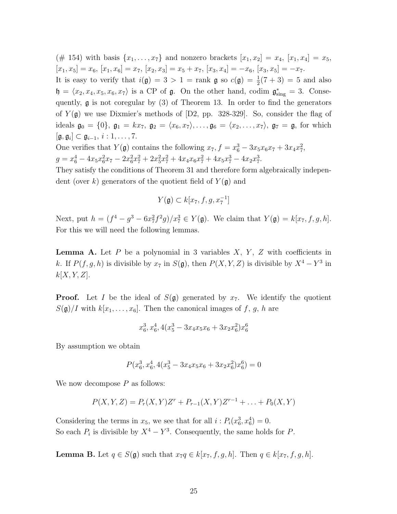(# 154) with basis  $\{x_1, \ldots, x_7\}$  and nonzero brackets  $[x_1, x_2] = x_4$ ,  $[x_1, x_4] = x_5$ ,  $[x_1, x_5] = x_6, [x_1, x_6] = x_7, [x_2, x_3] = x_5 + x_7, [x_3, x_4] = -x_6, [x_3, x_5] = -x_7.$ It is easy to verify that  $i(\mathfrak{g}) = 3 > 1 = \text{rank } \mathfrak{g}$  so  $c(\mathfrak{g}) = \frac{1}{2}(7 + 3) = 5$  and also  $\mathfrak{h} = \langle x_2, x_4, x_5, x_6, x_7 \rangle$  is a CP of  $\mathfrak{g}$ . On the other hand, codim  $\mathfrak{g}^*_{sing} = 3$ . Consequently, g is not coregular by (3) of Theorem 13. In order to find the generators of  $Y(\mathfrak{g})$  we use Dixmier's methods of [D2, pp. 328-329]. So, consider the flag of ideals  $\mathfrak{g}_0 = \{0\}, \mathfrak{g}_1 = kx_7, \mathfrak{g}_2 = \langle x_6, x_7 \rangle, \ldots, \mathfrak{g}_6 = \langle x_2, \ldots, x_7 \rangle, \mathfrak{g}_7 = \mathfrak{g}$ , for which  $[\mathfrak{g}, \mathfrak{g}_i] \subset \mathfrak{g}_{i-1}, i: 1, \ldots, 7.$ 

One verifies that  $Y(\mathfrak{g})$  contains the following  $x_7, f = x_6^3 - 3x_5x_6x_7 + 3x_4x_7^2$ ,  $g = x_6^4 - 4x_5x_6^2x_7 - 2x_6^2x_7^2 + 2x_5^2x_7^2 + 4x_4x_6x_7^2 + 4x_5x_7^3 - 4x_2x_7^3.$ 

They satisfy the conditions of Theorem 31 and therefore form algebraically independent (over k) generators of the quotient field of  $Y(\mathfrak{g})$  and

$$
Y(\mathfrak{g})\subset k[x_7, f, g, x_7^{-1}]
$$

Next, put  $h = (f^4 - g^3 - 6x_7^2 f^2 g)/x_7^3 \in Y(\mathfrak{g})$ . We claim that  $Y(\mathfrak{g}) = k[x_7, f, g, h]$ . For this we will need the following lemmas.

**Lemma A.** Let P be a polynomial in 3 variables  $X, Y, Z$  with coefficients in k. If  $P(f, g, h)$  is divisible by  $x_7$  in  $S(\mathfrak{g})$ , then  $P(X, Y, Z)$  is divisible by  $X^4 - Y^3$  in  $k[X, Y, Z].$ 

**Proof.** Let I be the ideal of  $S(\mathfrak{g})$  generated by  $x_7$ . We identify the quotient  $S(\mathfrak{g})/I$  with  $k[x_1, \ldots, x_6]$ . Then the canonical images of f, g, h are

$$
x_6^3, x_6^4, 4(x_5^3 - 3x_4x_5x_6 + 3x_2x_6^2)x_6^6
$$

By assumption we obtain

$$
P(x_6^3, x_6^4, 4(x_5^3 - 3x_4x_5x_6 + 3x_2x_6^2)x_6^6) = 0
$$

We now decompose  $P$  as follows:

$$
P(X, Y, Z) = P_r(X, Y)Z^r + P_{r-1}(X, Y)Z^{r-1} + \dots + P_0(X, Y)
$$

Considering the terms in  $x_5$ , we see that for all  $i$ :  $P_i(x_6^3, x_6^4) = 0$ . So each  $P_i$  is divisible by  $X^4 - Y^3$ . Consequently, the same holds for P.

**Lemma B.** Let  $q \in S(\mathfrak{g})$  such that  $x_7q \in k[x_7, f, g, h]$ . Then  $q \in k[x_7, f, g, h]$ .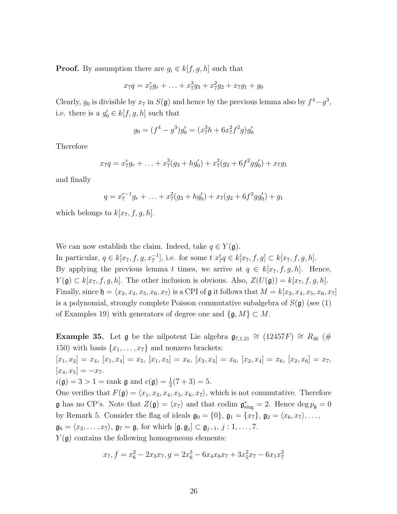**Proof.** By assumption there are  $g_i \in k[f, g, h]$  such that

$$
x_7q = x_7^r g_r + \ldots + x_7^3 g_3 + x_7^2 g_2 + x_7 g_1 + g_0
$$

Clearly,  $g_0$  is divisible by  $x_7$  in  $S(\mathfrak{g})$  and hence by the previous lemma also by  $f^4 - g^3$ , i.e. there is a  $g'_0 \in k[f, g, h]$  such that

$$
g_0 = (f^4 - g^3)g'_0 = (x_7^3h + 6x_7^2f^2g)g'_0
$$

Therefore

$$
x_7q = x_7^r g_r + \ldots + x_7^3(g_3 + h g'_0) + x_7^2(g_2 + 6f^2 g g'_0) + x_7g_1
$$

and finally

$$
q = x_7^{r-1}g_r + \ldots + x_7^2(g_3 + hg'_0) + x_7(g_2 + 6f^2gg'_0) + g_1
$$

which belongs to  $k[x_7, f, g, h]$ .

We can now establish the claim. Indeed, take  $q \in Y(\mathfrak{g})$ .

In particular,  $q \in k[x_7, f, g, x_7^{-1}]$ , i.e. for some  $t x_7^t q ∈ k[x_7, f, g] ⊂ k[x_7, f, g, h]$ . By applying the previous lemma t times, we arrive at  $q \in k[x_7, f, g, h]$ . Hence,  $Y(\mathfrak{g}) \subset k[x_7, f, g, h]$ . The other inclusion is obvious. Also,  $Z(U(\mathfrak{g})) = k[x_7, f, g, h]$ . Finally, since  $\mathfrak{h} = \langle x_2, x_4, x_5, x_6, x_7 \rangle$  is a CPI of g it follows that  $M = k[x_2, x_4, x_5, x_6, x_7]$ is a polynomial, strongly complete Poisson commutative subalgebra of  $S(\mathfrak{g})$  (see (1) of Examples 19) with generators of degree one and  $\{\mathfrak{g}, M\} \subset M$ .

Example 35. Let  $\mathfrak g$  be the nilpotent Lie algebra  $\mathfrak{g}_{7,1.21} \cong (12457F) \cong R_{36}$  (# 150) with basis  $\{x_1, \ldots, x_7\}$  and nonzero brackets:  $[x_1, x_2] = x_4$ ,  $[x_1, x_4] = x_5$ ,  $[x_1, x_5] = x_6$ ,  $[x_2, x_3] = x_6$ ,  $[x_2, x_4] = x_6$ ,  $[x_2, x_6] = x_7$ ,  $[x_4, x_5] = -x_7.$  $i(\mathfrak{g}) = 3 > 1$  = rank  $\mathfrak{g}$  and  $c(\mathfrak{g}) = \frac{1}{2}(7+3) = 5$ . One verifies that  $F(\mathfrak{g}) = \langle x_1, x_3, x_4, x_5, x_6, x_7 \rangle$ , which is not commutative. Therefore **g** has no CP's. Note that  $Z(\mathfrak{g}) = \langle x_7 \rangle$  and that codim  $\mathfrak{g}^*_{sing} = 2$ . Hence  $\deg p_{\mathfrak{g}} = 0$ by Remark 5. Consider the flag of ideals  $\mathfrak{g}_0 = \{0\}$ ,  $\mathfrak{g}_1 = \{x_7\}$ ,  $\mathfrak{g}_2 = \langle x_6, x_7 \rangle, \ldots$ ,  $\mathfrak{g}_6 = \langle x_2, \ldots, x_7 \rangle$ ,  $\mathfrak{g}_7 = \mathfrak{g}$ , for which  $[\mathfrak{g}, \mathfrak{g}_j] \subset \mathfrak{g}_{j-1}, j : 1, \ldots, 7$ .  $Y(\mathfrak{g})$  contains the following homogeneous elements:

$$
x_7, f = x_6^2 - 2x_3x_7, g = 2x_6^3 - 6x_4x_6x_7 + 3x_5^2x_7 - 6x_1x_7^2
$$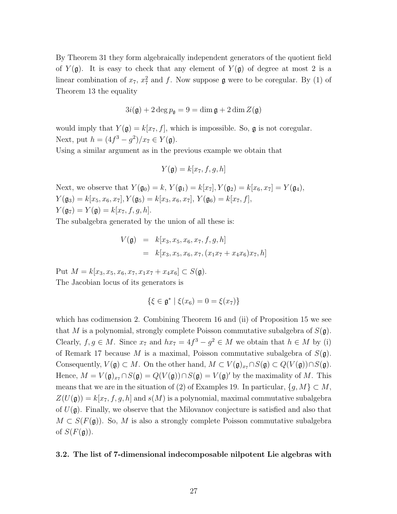By Theorem 31 they form algebraically independent generators of the quotient field of  $Y(\mathfrak{g})$ . It is easy to check that any element of  $Y(\mathfrak{g})$  of degree at most 2 is a linear combination of  $x_7$ ,  $x_7^2$  and f. Now suppose  $\mathfrak g$  were to be coregular. By (1) of Theorem 13 the equality

$$
3i(\mathfrak{g}) + 2\deg p_{\mathfrak{g}} = 9 = \dim \mathfrak{g} + 2\dim Z(\mathfrak{g})
$$

would imply that  $Y(\mathfrak{g}) = k[x_7, f]$ , which is impossible. So,  $\mathfrak{g}$  is not coregular. Next, put  $h = (4f^3 - g^2)/x_7 \in Y(\mathfrak{g}).$ 

Using a similar argument as in the previous example we obtain that

$$
Y(\mathfrak{g}) = k[x_7, f, g, h]
$$

Next, we observe that  $Y(\mathfrak{g}_0) = k$ ,  $Y(\mathfrak{g}_1) = k[x_7]$ ,  $Y(\mathfrak{g}_2) = k[x_6, x_7] = Y(\mathfrak{g}_4)$ ,  $Y(\mathfrak{g}_3) = k[x_5, x_6, x_7], Y(\mathfrak{g}_5) = k[x_3, x_6, x_7], Y(\mathfrak{g}_6) = k[x_7, f],$  $Y(\mathfrak{g}_7) = Y(\mathfrak{g}) = k[x_7, f, g, h].$ 

The subalgebra generated by the union of all these is:

$$
V(\mathfrak{g}) = k[x_3, x_5, x_6, x_7, f, g, h]
$$
  
=  $k[x_3, x_5, x_6, x_7, (x_1x_7 + x_4x_6)x_7, h]$ 

Put  $M = k[x_3, x_5, x_6, x_7, x_1x_7 + x_4x_6] \subset S(\mathfrak{g}).$ The Jacobian locus of its generators is

$$
\{\xi \in \mathfrak{g}^* \mid \xi(x_6) = 0 = \xi(x_7)\}
$$

which has codimension 2. Combining Theorem 16 and (ii) of Proposition 15 we see that M is a polynomial, strongly complete Poisson commutative subalgebra of  $S(\mathfrak{g})$ . Clearly,  $f, g \in M$ . Since  $x_7$  and  $hx_7 = 4f^3 - g^2 \in M$  we obtain that  $h \in M$  by (i) of Remark 17 because M is a maximal, Poisson commutative subalgebra of  $S(\mathfrak{g})$ . Consequently,  $V(\mathfrak{g}) \subset M$ . On the other hand,  $M \subset V(\mathfrak{g})_{x_{7}} \cap S(\mathfrak{g}) \subset Q(V(\mathfrak{g})) \cap S(\mathfrak{g})$ . Hence,  $M = V(\mathfrak{g})_{x} \cap S(\mathfrak{g}) = Q(V(\mathfrak{g})) \cap S(\mathfrak{g}) = V(\mathfrak{g})'$  by the maximality of M. This means that we are in the situation of (2) of Examples 19. In particular,  $\{g, M\} \subset M$ ,  $Z(U(\mathfrak{g})) = k[x_7, f, g, h]$  and  $s(M)$  is a polynomial, maximal commutative subalgebra of  $U(\mathfrak{g})$ . Finally, we observe that the Milovanov conjecture is satisfied and also that  $M \subset S(F(\mathfrak{g}))$ . So, M is also a strongly complete Poisson commutative subalgebra of  $S(F(\mathfrak{g}))$ .

#### 3.2. The list of 7-dimensional indecomposable nilpotent Lie algebras with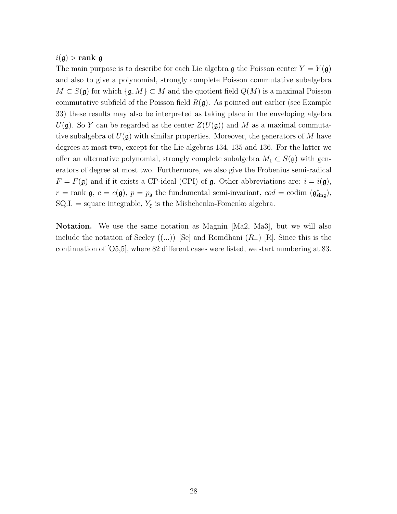$i(\mathfrak{g})$  > rank  $\mathfrak{g}$ 

The main purpose is to describe for each Lie algebra  $\mathfrak g$  the Poisson center  $Y = Y(\mathfrak g)$ and also to give a polynomial, strongly complete Poisson commutative subalgebra  $M \subset S(\mathfrak{g})$  for which  $\{\mathfrak{g}, M\} \subset M$  and the quotient field  $Q(M)$  is a maximal Poisson commutative subfield of the Poisson field  $R(\mathfrak{g})$ . As pointed out earlier (see Example 33) these results may also be interpreted as taking place in the enveloping algebra  $U(\mathfrak{g})$ . So Y can be regarded as the center  $Z(U(\mathfrak{g}))$  and M as a maximal commutative subalgebra of  $U(\mathfrak{g})$  with similar properties. Moreover, the generators of M have degrees at most two, except for the Lie algebras 134, 135 and 136. For the latter we offer an alternative polynomial, strongly complete subalgebra  $M_1 \subset S(\mathfrak{g})$  with generators of degree at most two. Furthermore, we also give the Frobenius semi-radical  $F = F(\mathfrak{g})$  and if it exists a CP-ideal (CPI) of  $\mathfrak{g}$ . Other abbreviations are:  $i = i(\mathfrak{g})$ ,  $r = \text{rank } \mathfrak{g}, c = c(\mathfrak{g}), p = p_{\mathfrak{g}} \text{ the fundamental semi-invariant, } cod = \text{codim } (\mathfrak{g}_{sing}^*),$ SQ.I. = square integrable,  $Y_{\xi}$  is the Mishchenko-Fomenko algebra.

Notation. We use the same notation as Magnin [Ma2, Ma3], but we will also include the notation of Seeley  $((...)$  [Se] and Romdhani  $(R_-)$  [R]. Since this is the continuation of [O5,5], where 82 different cases were listed, we start numbering at 83.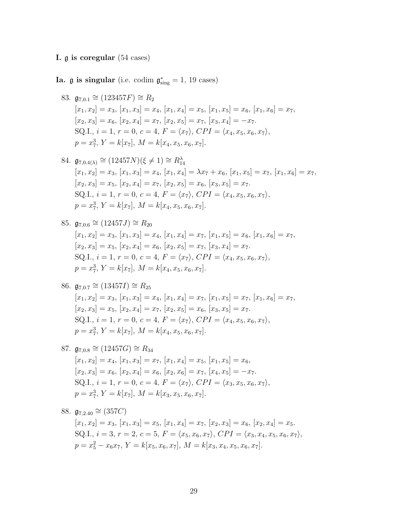# I. g is coregular (54 cases)

Ia.  $\mathfrak g$  is singular (i.e. codim  $\mathfrak g^*_{sing} = 1, 19$  cases)

- 83.  $\mathfrak{g}_{7,0.1} \cong (123457F) \cong R_2$  $[x_1, x_2] = x_3, [x_1, x_3] = x_4, [x_1, x_4] = x_5, [x_1, x_5] = x_6, [x_1, x_6] = x_7,$  $[x_2, x_3] = x_6$ ,  $[x_2, x_4] = x_7$ ,  $[x_2, x_5] = x_7$ ,  $[x_3, x_4] = -x_7$ . SQ.I.,  $i = 1, r = 0, c = 4, F = \langle x_7 \rangle, CPI = \langle x_4, x_5, x_6, x_7 \rangle,$  $p = x_7^3$ ,  $Y = k[x_7]$ ,  $M = k[x_4, x_5, x_6, x_7]$ .
- 84.  $\mathfrak{g}_{7,0.4(\lambda)} \cong (12457N)(\xi \neq 1) \cong R_{14}^{\lambda}$  $[x_1, x_2] = x_3, [x_1, x_3] = x_4, [x_1, x_4] = \lambda x_7 + x_6, [x_1, x_5] = x_7, [x_1, x_6] = x_7,$  $[x_2, x_3] = x_5, [x_2, x_4] = x_7, [x_2, x_5] = x_6, [x_3, x_5] = x_7.$ SQ.I.,  $i = 1, r = 0, c = 4, F = \langle x_7 \rangle, CPI = \langle x_4, x_5, x_6, x_7 \rangle,$  $p = x_7^3$ ,  $Y = k[x_7]$ ,  $M = k[x_4, x_5, x_6, x_7]$ .
- 85.  $\mathfrak{g}_{7,0.6} \cong (12457J) \cong R_{20}$  $[x_1, x_2] = x_3, [x_1, x_3] = x_4, [x_1, x_4] = x_7, [x_1, x_5] = x_6, [x_1, x_6] = x_7,$  $[x_2, x_3] = x_5$ ,  $[x_2, x_4] = x_6$ ,  $[x_2, x_5] = x_7$ ,  $[x_3, x_4] = x_7$ . SQ.I.,  $i = 1, r = 0, c = 4, F = \langle x_7 \rangle, CPI = \langle x_4, x_5, x_6, x_7 \rangle,$  $p = x_7^3$ ,  $Y = k[x_7]$ ,  $M = k[x_4, x_5, x_6, x_7]$ .

86. 
$$
\mathfrak{g}_{7,0.7} \cong (13457I) \cong R_{25}
$$
  
\n $[x_1, x_2] = x_3, [x_1, x_3] = x_4, [x_1, x_4] = x_7, [x_1, x_5] = x_7, [x_1, x_6] = x_7,$   
\n $[x_2, x_3] = x_5, [x_2, x_4] = x_7, [x_2, x_5] = x_6, [x_3, x_5] = x_7.$   
\nSQ.I.,  $i = 1, r = 0, c = 4, F = \langle x_7 \rangle, CPI = \langle x_4, x_5, x_6, x_7 \rangle,$   
\n $p = x_7^3, Y = k[x_7], M = k[x_4, x_5, x_6, x_7].$ 

87.  $\mathfrak{g}_{7,0.8} \cong (12457G) \cong R_{34}$  $[x_1, x_2] = x_4$ ,  $[x_1, x_3] = x_7$ ,  $[x_1, x_4] = x_5$ ,  $[x_1, x_5] = x_6$ ,  $[x_2, x_3] = x_6$ ,  $[x_2, x_4] = x_6$ ,  $[x_2, x_6] = x_7$ ,  $[x_4, x_5] = -x_7$ . SQ.I.,  $i = 1, r = 0, c = 4, F = \langle x_7 \rangle, CPI = \langle x_3, x_5, x_6, x_7 \rangle,$  $p = x_7^3$ ,  $Y = k[x_7]$ ,  $M = k[x_3, x_5, x_6, x_7]$ .

88.  $\mathfrak{g}_{7,2,40} \cong (357C)$ 

 $[x_1, x_2] = x_3, [x_1, x_3] = x_5, [x_1, x_4] = x_7, [x_2, x_3] = x_6, [x_2, x_4] = x_5.$ SQ.I.,  $i = 3, r = 2, c = 5, F = \langle x_5, x_6, x_7 \rangle$ ,  $CPI = \langle x_3, x_4, x_5, x_6, x_7 \rangle$ ,  $p = x_5^2 - x_6x_7, Y = k[x_5, x_6, x_7], M = k[x_3, x_4, x_5, x_6, x_7].$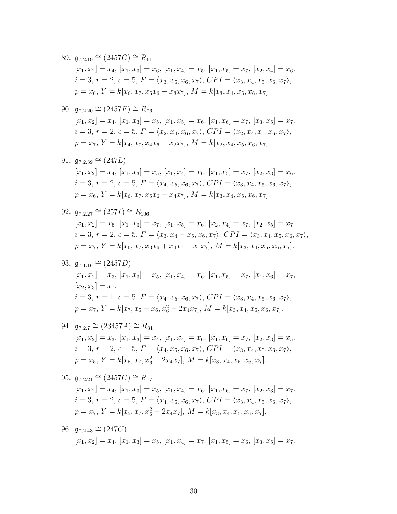89.  $\mathfrak{g}_{7,2.19} \cong (2457G) \cong R_{61}$  $[x_1, x_2] = x_4$ ,  $[x_1, x_3] = x_6$ ,  $[x_1, x_4] = x_5$ ,  $[x_1, x_5] = x_7$ ,  $[x_2, x_4] = x_6$ .  $i = 3, r = 2, c = 5, F = \langle x_3, x_5, x_6, x_7 \rangle, CPI = \langle x_3, x_4, x_5, x_6, x_7 \rangle,$  $p = x_6, Y = k[x_6, x_7, x_5x_6 - x_3x_7], M = k[x_3, x_4, x_5, x_6, x_7].$ 

90. 
$$
\mathfrak{g}_{7,2.20} \cong (2457F) \cong R_{76}
$$
  
\n $[x_1, x_2] = x_4, [x_1, x_3] = x_5, [x_1, x_5] = x_6, [x_1, x_6] = x_7, [x_3, x_5] = x_7.$   
\n $i = 3, r = 2, c = 5, F = \langle x_2, x_4, x_6, x_7 \rangle, CPI = \langle x_2, x_4, x_5, x_6, x_7 \rangle,$   
\n $p = x_7, Y = k[x_4, x_7, x_4x_6 - x_2x_7], M = k[x_2, x_4, x_5, x_6, x_7].$ 

91. 
$$
\mathfrak{g}_{7,2.39} \cong (247L)
$$
  
\n $[x_1, x_2] = x_4, [x_1, x_3] = x_5, [x_1, x_4] = x_6, [x_1, x_5] = x_7, [x_2, x_3] = x_6.$   
\n $i = 3, r = 2, c = 5, F = \langle x_4, x_5, x_6, x_7 \rangle, CPI = \langle x_3, x_4, x_5, x_6, x_7 \rangle,$   
\n $p = x_6, Y = k[x_6, x_7, x_5x_6 - x_4x_7], M = k[x_3, x_4, x_5, x_6, x_7].$ 

92. 
$$
\mathfrak{g}_{7,2.27} \cong (257I) \cong R_{106}
$$
  
\n $[x_1, x_2] = x_5, [x_1, x_3] = x_7, [x_1, x_5] = x_6, [x_2, x_4] = x_7, [x_2, x_5] = x_7.$   
\n $i = 3, r = 2, c = 5, F = \langle x_3, x_4 - x_5, x_6, x_7 \rangle, CPI = \langle x_3, x_4, x_5, x_6, x_7 \rangle,$   
\n $p = x_7, Y = k[x_6, x_7, x_3x_6 + x_4x_7 - x_5x_7], M = k[x_3, x_4, x_5, x_6, x_7].$ 

93. 
$$
\mathfrak{g}_{7,1.16} \cong (2457D)
$$
  
\n $[x_1, x_2] = x_3, [x_1, x_3] = x_5, [x_1, x_4] = x_6, [x_1, x_5] = x_7, [x_1, x_6] = x_7,$   
\n $[x_2, x_3] = x_7.$   
\n $i = 3, r = 1, c = 5, F = \langle x_4, x_5, x_6, x_7 \rangle, CPI = \langle x_3, x_4, x_5, x_6, x_7 \rangle,$   
\n $p = x_7, Y = k[x_7, x_5 - x_6, x_6^2 - 2x_4x_7], M = k[x_3, x_4, x_5, x_6, x_7].$ 

94. 
$$
\mathfrak{g}_{7,2.7} \cong (23457A) \cong R_{31}
$$
  
\n $[x_1, x_2] = x_3, [x_1, x_3] = x_4, [x_1, x_4] = x_6, [x_1, x_6] = x_7, [x_2, x_3] = x_5.$   
\n $i = 3, r = 2, c = 5, F = \langle x_4, x_5, x_6, x_7 \rangle, CPI = \langle x_3, x_4, x_5, x_6, x_7 \rangle,$   
\n $p = x_5, Y = k[x_5, x_7, x_6^2 - 2x_4x_7], M = k[x_3, x_4, x_5, x_6, x_7].$ 

95. 
$$
\mathfrak{g}_{7,2.21} \cong (2457C) \cong R_{77}
$$
  
\n $[x_1, x_2] = x_4, [x_1, x_3] = x_5, [x_1, x_4] = x_6, [x_1, x_6] = x_7, [x_2, x_3] = x_7$ .  
\n $i = 3, r = 2, c = 5, F = \langle x_4, x_5, x_6, x_7 \rangle, CPI = \langle x_3, x_4, x_5, x_6, x_7 \rangle,$   
\n $p = x_7, Y = k[x_5, x_7, x_6^2 - 2x_4x_7], M = k[x_3, x_4, x_5, x_6, x_7].$ 

96. 
$$
\mathfrak{g}_{7,2.43} \cong (247C)
$$
  
\n $[x_1, x_2] = x_4, [x_1, x_3] = x_5, [x_1, x_4] = x_7, [x_1, x_5] = x_6, [x_3, x_5] = x_7.$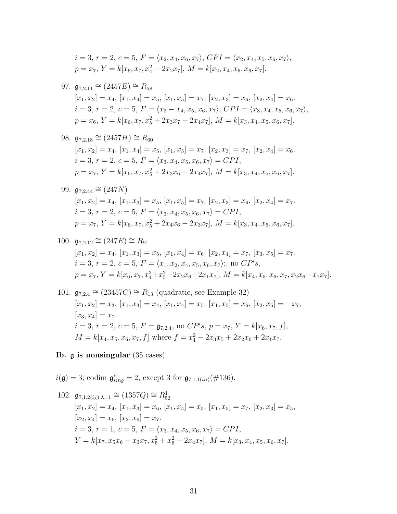$$
i = 3, r = 2, c = 5, F = \langle x_2, x_4, x_6, x_7 \rangle, CPI = \langle x_2, x_4, x_5, x_6, x_7 \rangle,
$$
  

$$
p = x_7, Y = k[x_6, x_7, x_4^2 - 2x_2x_7], M = k[x_2, x_4, x_5, x_6, x_7].
$$

97. 
$$
\mathfrak{g}_{7,2.11} \cong (2457E) \cong R_{58}
$$
  
\n $[x_1, x_2] = x_4, [x_1, x_4] = x_5, [x_1, x_5] = x_7, [x_2, x_3] = x_6, [x_2, x_4] = x_6.$   
\n $i = 3, r = 2, c = 5, F = \langle x_3 - x_4, x_5, x_6, x_7 \rangle, CPI = \langle x_3, x_4, x_5, x_6, x_7 \rangle,$   
\n $p = x_6, Y = k[x_6, x_7, x_5^2 + 2x_3x_7 - 2x_4x_7], M = k[x_3, x_4, x_5, x_6, x_7].$ 

98. 
$$
\mathfrak{g}_{7,2.18} \cong (2457H) \cong R_{60}
$$
  
\n $[x_1, x_2] = x_4, [x_1, x_4] = x_5, [x_1, x_5] = x_7, [x_2, x_3] = x_7, [x_2, x_4] = x_6.$   
\n $i = 3, r = 2, c = 5, F = \langle x_3, x_4, x_5, x_6, x_7 \rangle = CPI,$   
\n $p = x_7, Y = k[x_6, x_7, x_5^2 + 2x_3x_6 - 2x_4x_7], M = k[x_3, x_4, x_5, x_6, x_7].$ 

99. 
$$
\mathfrak{g}_{7,2.44} \cong (247N)
$$
  
\n $[x_1, x_2] = x_4, [x_1, x_3] = x_5, [x_1, x_5] = x_7, [x_2, x_3] = x_6, [x_2, x_4] = x_7.$   
\n $i = 3, r = 2, c = 5, F = \langle x_3, x_4, x_5, x_6, x_7 \rangle = CPI,$   
\n $p = x_7, Y = k[x_6, x_7, x_5^2 + 2x_4x_6 - 2x_3x_7], M = k[x_3, x_4, x_5, x_6, x_7].$ 

100. 
$$
\mathfrak{g}_{7,2.12} \cong (247E) \cong R_{91}
$$
  
\n $[x_1, x_2] = x_4, [x_1, x_3] = x_5, [x_1, x_4] = x_6, [x_2, x_4] = x_7, [x_3, x_5] = x_7.$   
\n $i = 3, r = 2, c = 5, F = \langle x_1, x_2, x_4, x_5, x_6, x_7 \rangle;$ , no  $CP's$ ,  
\n $p = x_7, Y = k[x_6, x_7, x_4^2 + x_5^2 - 2x_2x_6 + 2x_1x_7], M = k[x_4, x_5, x_6, x_7, x_2x_6 - x_1x_7].$ 

101. 
$$
\mathfrak{g}_{7,2.4} \cong (23457C) \cong R_{13}
$$
 (quadratic, see Example 32)  
\n $[x_1, x_2] = x_3$ ,  $[x_1, x_3] = x_4$ ,  $[x_1, x_4] = x_5$ ,  $[x_1, x_5] = x_6$ ,  $[x_2, x_5] = -x_7$ ,  
\n $[x_3, x_4] = x_7$ .  
\n $i = 3, r = 2, c = 5, F = \mathfrak{g}_{7,2.4}$ , no  $\mathbb{CP}'s$ ,  $p = x_7, Y = k[x_6, x_7, f]$ ,  
\n $M = k[x_4, x_5, x_6, x_7, f]$  where  $f = x_4^2 - 2x_3x_5 + 2x_2x_6 + 2x_1x_7$ .

# Ib. g is nonsingular (35 cases)

 $i(\mathfrak{g}) = 3$ ; codim  $\mathfrak{g}^*_{sing} = 2$ , except 3 for  $\mathfrak{g}_{7,1.1(iii)}(\#136)$ .

102. 
$$
\mathfrak{g}_{7,1.2(i_\lambda),\lambda=1} \cong (1357Q) \cong R_{52}^1
$$
  
\n $[x_1, x_2] = x_4, [x_1, x_3] = x_6, [x_1, x_4] = x_5, [x_1, x_5] = x_7, [x_2, x_3] = x_5,$   
\n $[x_2, x_4] = x_6, [x_2, x_6] = x_7.$   
\n $i = 3, r = 1, c = 5, F = \langle x_3, x_4, x_5, x_6, x_7 \rangle = CPI,$   
\n $Y = k[x_7, x_5x_6 - x_3x_7, x_5^2 + x_6^2 - 2x_4x_7], M = k[x_3, x_4, x_5, x_6, x_7].$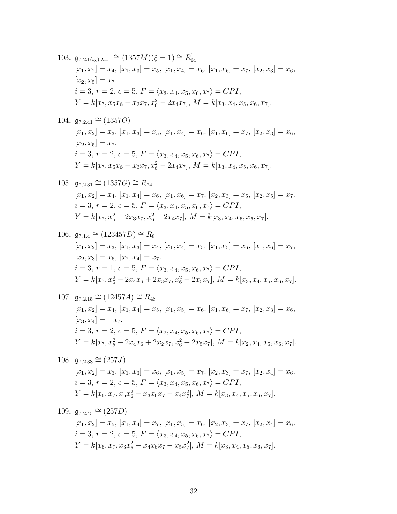103.  $\mathfrak{g}_{7,2.1(i_{\lambda}),\lambda=1} \cong (1357M)(\xi=1) \cong R_{64}^1$  $[x_1, x_2] = x_4, [x_1, x_3] = x_5, [x_1, x_4] = x_6, [x_1, x_6] = x_7, [x_2, x_3] = x_6,$  $[x_2, x_5] = x_7.$  $i = 3, r = 2, c = 5, F = \langle x_3, x_4, x_5, x_6, x_7 \rangle = CPI,$  $Y = k[x_7, x_5x_6 - x_3x_7, x_6^2 - 2x_4x_7], M = k[x_3, x_4, x_5, x_6, x_7].$ 

104.  $\mathfrak{g}_{7,2.41} \cong (1357O)$ 

 $[x_1, x_2] = x_3, [x_1, x_3] = x_5, [x_1, x_4] = x_6, [x_1, x_6] = x_7, [x_2, x_3] = x_6,$  $[x_2, x_5] = x_7.$  $i = 3, r = 2, c = 5, F = \langle x_3, x_4, x_5, x_6, x_7 \rangle = CPI,$  $Y = k[x_7, x_5x_6 - x_3x_7, x_6^2 - 2x_4x_7], M = k[x_3, x_4, x_5, x_6, x_7].$ 

105. 
$$
\mathfrak{g}_{7,2.31} \cong (1357G) \cong R_{74}
$$
  
\n $[x_1, x_2] = x_4, [x_1, x_4] = x_6, [x_1, x_6] = x_7, [x_2, x_3] = x_5, [x_2, x_5] = x_7.$   
\n $i = 3, r = 2, c = 5, F = \langle x_3, x_4, x_5, x_6, x_7 \rangle = CPI,$   
\n $Y = k[x_7, x_5^2 - 2x_3x_7, x_6^2 - 2x_4x_7], M = k[x_3, x_4, x_5, x_6, x_7].$ 

106. 
$$
\mathfrak{g}_{7,1.4} \cong (123457D) \cong R_8
$$
  
\n $[x_1, x_2] = x_3, [x_1, x_3] = x_4, [x_1, x_4] = x_5, [x_1, x_5] = x_6, [x_1, x_6] = x_7,$   
\n $[x_2, x_3] = x_6, [x_2, x_4] = x_7.$   
\n $i = 3, r = 1, c = 5, F = \langle x_3, x_4, x_5, x_6, x_7 \rangle = CPI,$   
\n $Y = k[x_7, x_5^2 - 2x_4x_6 + 2x_3x_7, x_6^2 - 2x_5x_7], M = k[x_3, x_4, x_5, x_6, x_7].$ 

107.  $\mathfrak{g}_{7,2,15} \cong (12457A) \cong R_{48}$  $[x_1, x_2] = x_4, [x_1, x_4] = x_5, [x_1, x_5] = x_6, [x_1, x_6] = x_7, [x_2, x_3] = x_6,$  $[x_3, x_4] = -x_7.$  $i = 3, r = 2, c = 5, F = \langle x_2, x_4, x_5, x_6, x_7 \rangle = CPI,$  $Y = k[x_7, x_5^2 - 2x_4x_6 + 2x_2x_7, x_6^2 - 2x_5x_7], M = k[x_2, x_4, x_5, x_6, x_7].$ 

108.  $\mathfrak{g}_{7,2.38} \cong (257J)$  $[x_1, x_2] = x_3, [x_1, x_3] = x_6, [x_1, x_5] = x_7, [x_2, x_3] = x_7, [x_2, x_4] = x_6.$  $i = 3, r = 2, c = 5, F = \langle x_3, x_4, x_5, x_6, x_7 \rangle = CPI,$  $Y = k[x_6, x_7, x_5x_6^2 - x_3x_6x_7 + x_4x_7^2], M = k[x_3, x_4, x_5, x_6, x_7].$ 

109. 
$$
\mathfrak{g}_{7,2.45} \cong (257D)
$$
  
\n $[x_1, x_2] = x_5, [x_1, x_4] = x_7, [x_1, x_5] = x_6, [x_2, x_3] = x_7, [x_2, x_4] = x_6.$   
\n $i = 3, r = 2, c = 5, F = \langle x_3, x_4, x_5, x_6, x_7 \rangle = CPI,$   
\n $Y = k[x_6, x_7, x_3x_6^2 - x_4x_6x_7 + x_5x_7^2], M = k[x_3, x_4, x_5, x_6, x_7].$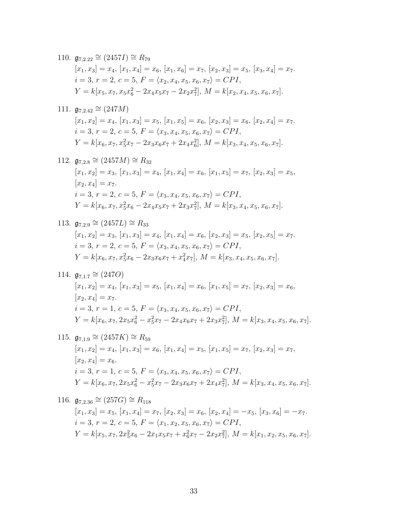110. 
$$
\mathfrak{g}_{7,2.22} \cong (2457I) \cong R_{79}
$$
  
\n $[x_1, x_3] = x_4, [x_1, x_4] = x_6, [x_1, x_6] = x_7, [x_2, x_3] = x_5, [x_3, x_4] = x_7$ .  
\n $i = 3, r = 2, c = 5, F = \langle x_2, x_4, x_5, x_6, x_7 \rangle = CPI$ ,  
\n $Y = k[x_5, x_7, x_5x_6^2 - 2x_4x_5x_7 - 2x_2x_7^2], M = k[x_2, x_4, x_5, x_6, x_7]$ .

111. 
$$
\mathfrak{g}_{7,2.42} \cong (247M)
$$
  
\n $[x_1, x_2] = x_4, [x_1, x_3] = x_5, [x_1, x_5] = x_6, [x_2, x_3] = x_6, [x_2, x_4] = x_7.$   
\n $i = 3, r = 2, c = 5, F = \langle x_3, x_4, x_5, x_6, x_7 \rangle = CPI,$   
\n $Y = k[x_6, x_7, x_5^2x_7 - 2x_3x_6x_7 + 2x_4x_6^2], M = k[x_3, x_4, x_5, x_6, x_7].$ 

112. 
$$
\mathfrak{g}_{7,2.8} \cong (2457M) \cong R_{32}
$$
  
\n $[x_1, x_2] = x_3, [x_1, x_3] = x_4, [x_1, x_4] = x_6, [x_1, x_5] = x_7, [x_2, x_3] = x_5,$   
\n $[x_2, x_4] = x_7.$   
\n $i = 3, r = 2, c = 5, F = \langle x_3, x_4, x_5, x_6, x_7 \rangle = CPI,$   
\n $Y = k[x_6, x_7, x_5^2x_6 - 2x_4x_5x_7 + 2x_3x_7^2], M = k[x_3, x_4, x_5, x_6, x_7].$ 

113. 
$$
\mathfrak{g}_{7,2.9} \cong (2457L) \cong R_{33}
$$
  
\n $[x_1, x_2] = x_3, [x_1, x_3] = x_4, [x_1, x_4] = x_6, [x_2, x_3] = x_5, [x_2, x_5] = x_7.$   
\n $i = 3, r = 2, c = 5, F = \langle x_3, x_4, x_5, x_6, x_7 \rangle = CPI,$   
\n $Y = k[x_6, x_7, x_5^2x_6 - 2x_3x_6x_7 + x_4^2x_7], M = k[x_3, x_4, x_5, x_6, x_7].$ 

114. 
$$
\mathfrak{g}_{7,1.7} \cong (247O)
$$
  
\n $[x_1, x_2] = x_4, [x_1, x_3] = x_5, [x_1, x_4] = x_6, [x_1, x_5] = x_7, [x_2, x_3] = x_6,$   
\n $[x_2, x_4] = x_7.$   
\n $i = 3, r = 1, c = 5, F = \langle x_3, x_4, x_5, x_6, x_7 \rangle = CPI,$   
\n $Y = k[x_6, x_7, 2x_5x_6^2 - x_5^2x_7 - 2x_4x_6x_7 + 2x_3x_7^2], M = k[x_3, x_4, x_5, x_6, x_7].$ 

115. 
$$
\mathfrak{g}_{7,1.9} \cong (2457K) \cong R_{59}
$$
  
\n $[x_1, x_2] = x_4, [x_1, x_3] = x_6, [x_1, x_4] = x_5, [x_1, x_5] = x_7, [x_2, x_3] = x_7,$   
\n $[x_2, x_4] = x_6.$   
\n $i = 3, r = 1, c = 5, F = \langle x_3, x_4, x_5, x_6, x_7 \rangle = CPI,$   
\n $Y = k[x_6, x_7, 2x_5x_6^2 - x_5^2x_7 - 2x_3x_6x_7 + 2x_4x_7^2], M = k[x_3, x_4, x_5, x_6, x_7].$ 

116. 
$$
\mathfrak{g}_{7,2.36} \cong (257G) \cong R_{118}
$$
  
\n $[x_1, x_3] = x_5, [x_1, x_4] = x_7, [x_2, x_3] = x_6, [x_2, x_4] = -x_5, [x_3, x_6] = -x_7.$   
\n $i = 3, r = 2, c = 5, F = \langle x_1, x_2, x_5, x_6, x_7 \rangle = CPI,$   
\n $Y = k[x_5, x_7, 2x_5^2x_6 - 2x_1x_5x_7 + x_6^2x_7 - 2x_2x_7^2], M = k[x_1, x_2, x_5, x_6, x_7].$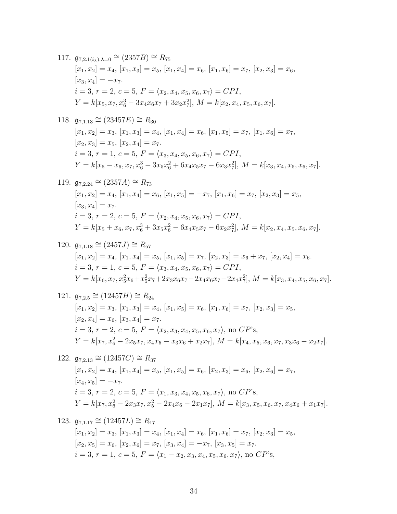117.  $\mathfrak{g}_{7,2.1(i_{\lambda}),\lambda=0} \cong (2357B) \cong R_{75}$  $[x_1, x_2] = x_4, [x_1, x_3] = x_5, [x_1, x_4] = x_6, [x_1, x_6] = x_7, [x_2, x_3] = x_6,$  $[x_3, x_4] = -x_7.$  $i = 3, r = 2, c = 5, F = \langle x_2, x_4, x_5, x_6, x_7 \rangle = CPI,$  $Y = k[x_5, x_7, x_6^3 - 3x_4x_6x_7 + 3x_2x_7^2], M = k[x_2, x_4, x_5, x_6, x_7].$ 

118.  $\mathfrak{g}_{7,1.13} \cong (23457E) \cong R_{30}$  $[x_1, x_2] = x_3, [x_1, x_3] = x_4, [x_1, x_4] = x_6, [x_1, x_5] = x_7, [x_1, x_6] = x_7,$  $[x_2, x_3] = x_5, [x_2, x_4] = x_7.$  $i = 3, r = 1, c = 5, F = \langle x_3, x_4, x_5, x_6, x_7 \rangle = CPI,$  $Y = k[x_5 - x_6, x_7, x_6^3 - 3x_5x_6^2 + 6x_4x_5x_7 - 6x_3x_7^2], M = k[x_3, x_4, x_5, x_6, x_7].$ 

119. 
$$
\mathfrak{g}_{7,2.24} \cong (2357A) \cong R_{73}
$$
  
\n $[x_1, x_2] = x_4, [x_1, x_4] = x_6, [x_1, x_5] = -x_7, [x_1, x_6] = x_7, [x_2, x_3] = x_5,$   
\n $[x_3, x_4] = x_7.$   
\n $i = 3, r = 2, c = 5, F = \langle x_2, x_4, x_5, x_6, x_7 \rangle = CPI,$   
\n $Y = k[x_5 + x_6, x_7, x_6^3 + 3x_5x_6^2 - 6x_4x_5x_7 - 6x_2x_7^2], M = k[x_2, x_4, x_5, x_6, x_7].$ 

120. 
$$
\mathfrak{g}_{7,1.18} \cong (2457J) \cong R_{57}
$$
  
\n $[x_1, x_2] = x_4, [x_1, x_4] = x_5, [x_1, x_5] = x_7, [x_2, x_3] = x_6 + x_7, [x_2, x_4] = x_6.$   
\n $i = 3, r = 1, c = 5, F = \langle x_3, x_4, x_5, x_6, x_7 \rangle = CPI,$   
\n $Y = k[x_6, x_7, x_5^2x_6 + x_5^2x_7 + 2x_3x_6x_7 - 2x_4x_6x_7 - 2x_4x_7^2], M = k[x_3, x_4, x_5, x_6, x_7].$ 

121. 
$$
\mathfrak{g}_{7,2.5} \cong (12457H) \cong R_{24}
$$
  
\n $[x_1, x_2] = x_3, [x_1, x_3] = x_4, [x_1, x_5] = x_6, [x_1, x_6] = x_7, [x_2, x_3] = x_5,$   
\n $[x_2, x_4] = x_6, [x_3, x_4] = x_7.$   
\n $i = 3, r = 2, c = 5, F = \langle x_2, x_3, x_4, x_5, x_6, x_7 \rangle$ , no CP's,  
\n $Y = k[x_7, x_6^2 - 2x_5x_7, x_4x_5 - x_3x_6 + x_2x_7], M = k[x_4, x_5, x_6, x_7, x_3x_6 - x_2x_7].$ 

122. 
$$
\mathfrak{g}_{7,2.13} \cong (12457C) \cong R_{37}
$$
  
\n $[x_1, x_2] = x_4, [x_1, x_4] = x_5, [x_1, x_5] = x_6, [x_2, x_3] = x_6, [x_2, x_6] = x_7,$   
\n $[x_4, x_5] = -x_7.$   
\n $i = 3, r = 2, c = 5, F = \langle x_1, x_3, x_4, x_5, x_6, x_7 \rangle, \text{ no } CP's,$   
\n $Y = k[x_7, x_6^2 - 2x_3x_7, x_5^2 - 2x_4x_6 - 2x_1x_7], M = k[x_3, x_5, x_6, x_7, x_4x_6 + x_1x_7].$ 

123. 
$$
\mathfrak{g}_{7,1.17} \cong (12457L) \cong R_{17}
$$
  
\n $[x_1, x_2] = x_3, [x_1, x_3] = x_4, [x_1, x_4] = x_6, [x_1, x_6] = x_7, [x_2, x_3] = x_5,$   
\n $[x_2, x_5] = x_6, [x_2, x_6] = x_7, [x_3, x_4] = -x_7, [x_3, x_5] = x_7.$   
\n $i = 3, r = 1, c = 5, F = \langle x_1 - x_2, x_3, x_4, x_5, x_6, x_7 \rangle$ , no CP's,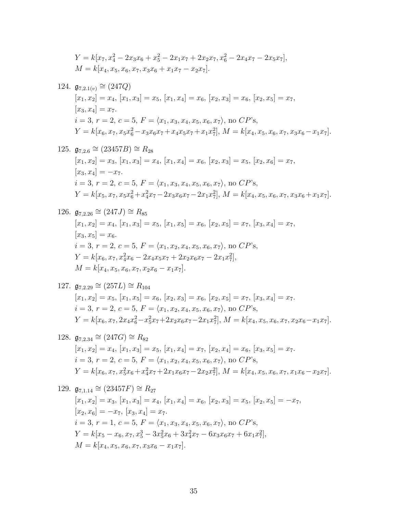$$
Y = k[x_7, x_4^2 - 2x_3x_6 + x_5^2 - 2x_1x_7 + 2x_2x_7, x_6^2 - 2x_4x_7 - 2x_5x_7],
$$
  
\n
$$
M = k[x_4, x_5, x_6, x_7, x_3x_6 + x_1x_7 - x_2x_7].
$$

124. 
$$
\mathfrak{g}_{7,2.1(v)} \cong (247Q)
$$
  
\n $[x_1, x_2] = x_4, [x_1, x_3] = x_5, [x_1, x_4] = x_6, [x_2, x_3] = x_6, [x_2, x_5] = x_7,$   
\n $[x_3, x_4] = x_7.$   
\n $i = 3, r = 2, c = 5, F = \langle x_1, x_3, x_4, x_5, x_6, x_7 \rangle, \text{ no } CP\text{'s},$   
\n $Y = k[x_6, x_7, x_5x_6^2 - x_3x_6x_7 + x_4x_5x_7 + x_1x_7^2], M = k[x_4, x_5, x_6, x_7, x_3x_6 - x_1x_7].$ 

125. 
$$
\mathfrak{g}_{7,2.6} \cong (23457B) \cong R_{28}
$$
  
\n $[x_1, x_2] = x_3, [x_1, x_3] = x_4, [x_1, x_4] = x_6, [x_2, x_3] = x_5, [x_2, x_6] = x_7,$   
\n $[x_3, x_4] = -x_7.$   
\n $i = 3, r = 2, c = 5, F = \langle x_1, x_3, x_4, x_5, x_6, x_7 \rangle$ , no CP's,  
\n $Y = k[x_5, x_7, x_5x_6^2 + x_4^2x_7 - 2x_3x_6x_7 - 2x_1x_7^2], M = k[x_4, x_5, x_6, x_7, x_3x_6 + x_1x_7].$ 

126. 
$$
\mathfrak{g}_{7,2.26} \cong (247J) \cong R_{85}
$$
  
\n $[x_1, x_2] = x_4, [x_1, x_3] = x_5, [x_1, x_5] = x_6, [x_2, x_5] = x_7, [x_3, x_4] = x_7,$   
\n $[x_3, x_5] = x_6.$   
\n $i = 3, r = 2, c = 5, F = \langle x_1, x_2, x_4, x_5, x_6, x_7 \rangle, \text{ no } CP\text{'s},$   
\n $Y = k[x_6, x_7, x_4^2x_6 - 2x_4x_5x_7 + 2x_2x_6x_7 - 2x_1x_7^2],$   
\n $M = k[x_4, x_5, x_6, x_7, x_2x_6 - x_1x_7].$ 

127. 
$$
\mathfrak{g}_{7,2.29} \cong (257L) \cong R_{104}
$$
  
\n $[x_1, x_2] = x_5, [x_1, x_5] = x_6, [x_2, x_3] = x_6, [x_2, x_5] = x_7, [x_3, x_4] = x_7.$   
\n $i = 3, r = 2, c = 5, F = \langle x_1, x_2, x_4, x_5, x_6, x_7 \rangle, \text{ no } CP\text{'s},$   
\n $Y = k[x_6, x_7, 2x_4x_6^2 - x_5^2x_7 + 2x_2x_6x_7 - 2x_1x_7^2], M = k[x_4, x_5, x_6, x_7, x_2x_6 - x_1x_7].$ 

128. 
$$
\mathfrak{g}_{7,2.34} \cong (247G) \cong R_{82}
$$
  
\n $[x_1, x_2] = x_4, [x_1, x_3] = x_5, [x_1, x_4] = x_7, [x_2, x_4] = x_6, [x_3, x_5] = x_7.$   
\n $i = 3, r = 2, c = 5, F = \langle x_1, x_2, x_4, x_5, x_6, x_7 \rangle, \text{ no } CP\text{'s},$   
\n $Y = k[x_6, x_7, x_5^2x_6 + x_4^2x_7 + 2x_1x_6x_7 - 2x_2x_7^2], M = k[x_4, x_5, x_6, x_7, x_1x_6 - x_2x_7].$ 

129.  $\mathfrak{g}_{7,1.14} \cong (23457F) \cong R_{27}$  $\label{eq:1} [x_1, x_2]=x_3, \, [x_1, x_3]=x_4, \, [x_1, x_4]=x_6, \, [x_2, x_3]=x_5, \, [x_2, x_5]=-x_7,$  $[x_2, x_6] = -x_7, [x_3, x_4] = x_7.$  $i = 3, r = 1, c = 5, F = \langle x_1, x_3, x_4, x_5, x_6, x_7 \rangle$ , no  $CP$ 's,  $Y = k[x_5 - x_6, x_7, x_5^3 - 3x_5^2x_6 + 3x_4^2x_7 - 6x_3x_6x_7 + 6x_1x_7^2],$  $M = k[x_4, x_5, x_6, x_7, x_3x_6 - x_1x_7].$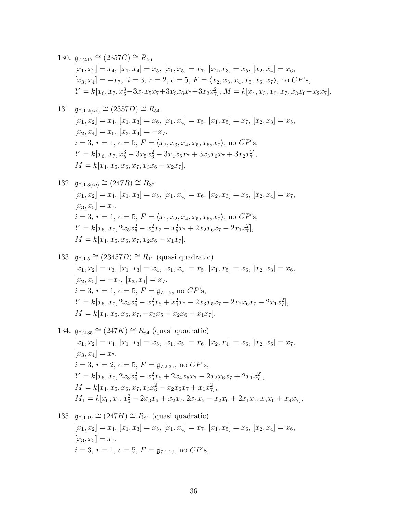130. 
$$
\mathfrak{g}_{7,2.17} \cong (2357C) \cong R_{56}
$$
  
\n $[x_1, x_2] = x_4, [x_1, x_4] = x_5, [x_1, x_5] = x_7, [x_2, x_3] = x_5, [x_2, x_4] = x_6,$   
\n $[x_3, x_4] = -x_7, i = 3, r = 2, c = 5, F = \langle x_2, x_3, x_4, x_5, x_6, x_7 \rangle, \text{ no } CP's,$   
\n $Y = k[x_6, x_7, x_5^3 - 3x_4x_5x_7 + 3x_3x_6x_7 + 3x_2x_7^2], M = k[x_4, x_5, x_6, x_7, x_3x_6 + x_2x_7].$ 

131. 
$$
\mathfrak{g}_{7,1.2(iii)} \cong (2357D) \cong R_{54}
$$
  
\n $[x_1, x_2] = x_4, [x_1, x_3] = x_6, [x_1, x_4] = x_5, [x_1, x_5] = x_7, [x_2, x_3] = x_5,$   
\n $[x_2, x_4] = x_6, [x_3, x_4] = -x_7.$   
\n $i = 3, r = 1, c = 5, F = \langle x_2, x_3, x_4, x_5, x_6, x_7 \rangle$ , no CP's,  
\n $Y = k[x_6, x_7, x_5^3 - 3x_5x_6^2 - 3x_4x_5x_7 + 3x_3x_6x_7 + 3x_2x_7^2],$   
\n $M = k[x_4, x_5, x_6, x_7, x_3x_6 + x_2x_7].$ 

132. 
$$
\mathfrak{g}_{7,1.3(iv)} \cong (247R) \cong R_{87}
$$
  
\n $[x_1, x_2] = x_4, [x_1, x_3] = x_5, [x_1, x_4] = x_6, [x_2, x_3] = x_6, [x_2, x_4] = x_7,$   
\n $[x_3, x_5] = x_7.$   
\n $i = 3, r = 1, c = 5, F = \langle x_1, x_2, x_4, x_5, x_6, x_7 \rangle, \text{ no } CP's,$   
\n $Y = k[x_6, x_7, 2x_5x_6^2 - x_4^2x_7 - x_5^2x_7 + 2x_2x_6x_7 - 2x_1x_7^2],$   
\n $M = k[x_4, x_5, x_6, x_7, x_2x_6 - x_1x_7].$ 

133. 
$$
\mathfrak{g}_{7,1.5} \cong (23457D) \cong R_{12}
$$
 (quasi quadratic)  
\n $[x_1, x_2] = x_3$ ,  $[x_1, x_3] = x_4$ ,  $[x_1, x_4] = x_5$ ,  $[x_1, x_5] = x_6$ ,  $[x_2, x_3] = x_6$ ,  
\n $[x_2, x_5] = -x_7$ ,  $[x_3, x_4] = x_7$ .  
\n $i = 3, r = 1, c = 5, F = \mathfrak{g}_{7,1.5}$ , no *CP's*,  
\n $Y = k[x_6, x_7, 2x_4x_6^2 - x_5^2x_6 + x_4^2x_7 - 2x_3x_5x_7 + 2x_2x_6x_7 + 2x_1x_7^2]$ ,  
\n $M = k[x_4, x_5, x_6, x_7, -x_3x_5 + x_2x_6 + x_1x_7]$ .

134. 
$$
\mathfrak{g}_{7,2.35} \cong (247K) \cong R_{84}
$$
 (quasi quadratic)  
\n $[x_1, x_2] = x_4$ ,  $[x_1, x_3] = x_5$ ,  $[x_1, x_5] = x_6$ ,  $[x_2, x_4] = x_6$ ,  $[x_2, x_5] = x_7$ ,  
\n $[x_3, x_4] = x_7$ .  
\n $i = 3, r = 2, c = 5, F = \mathfrak{g}_{7,2.35}$ , no *CP's*,  
\n $Y = k[x_6, x_7, 2x_3x_6^2 - x_5^2x_6 + 2x_4x_5x_7 - 2x_2x_6x_7 + 2x_1x_7^2]$ ,  
\n $M = k[x_4, x_5, x_6, x_7, x_3x_6^2 - x_2x_6x_7 + x_1x_7^2]$ ,  
\n $M_1 = k[x_6, x_7, x_5^2 - 2x_3x_6 + x_2x_7, 2x_4x_5 - x_2x_6 + 2x_1x_7, x_5x_6 + x_4x_7]$ .

135. 
$$
\mathfrak{g}_{7,1.19} \cong (247H) \cong R_{81}
$$
 (quasi quadratic)  
\n $[x_1, x_2] = x_4$ ,  $[x_1, x_3] = x_5$ ,  $[x_1, x_4] = x_7$ ,  $[x_1, x_5] = x_6$ ,  $[x_2, x_4] = x_6$ ,  
\n $[x_3, x_5] = x_7$ .  
\n $i = 3, r = 1, c = 5, F = \mathfrak{g}_{7,1.19}$ , no CP's,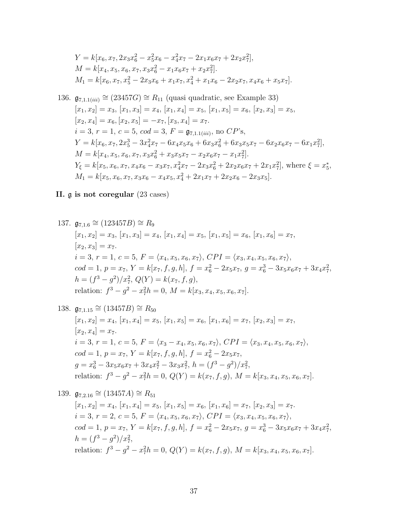$$
Y = k[x_6, x_7, 2x_3x_6^2 - x_5^2x_6 - x_4^2x_7 - 2x_1x_6x_7 + 2x_2x_7^2],
$$
  
\n
$$
M = k[x_4, x_5, x_6, x_7, x_3x_6^2 - x_1x_6x_7 + x_2x_7^2].
$$
  
\n
$$
M_1 = k[x_6, x_7, x_5^2 - 2x_3x_6 + x_1x_7, x_4^2 + x_1x_6 - 2x_2x_7, x_4x_6 + x_5x_7].
$$

136. 
$$
\mathfrak{g}_{7,1.1(iii)} \cong (23457G) \cong R_{11}
$$
 (quasi quadratic, see Example 33)  
\n $[x_1, x_2] = x_3$ ,  $[x_1, x_3] = x_4$ ,  $[x_1, x_4] = x_5$ ,  $[x_1, x_5] = x_6$ ,  $[x_2, x_3] = x_5$ ,  
\n $[x_2, x_4] = x_6$ ,  $[x_2, x_5] = -x_7$ ,  $[x_3, x_4] = x_7$ .  
\n $i = 3$ ,  $r = 1$ ,  $c = 5$ ,  $cod = 3$ ,  $F = \mathfrak{g}_{7,1.1(iii)}$ , no  $\mathbb{CP}$ 's,  
\n $Y = k[x_6, x_7, 2x_5^3 - 3x_4^2x_7 - 6x_4x_5x_6 + 6x_3x_6^2 + 6x_3x_5x_7 - 6x_2x_6x_7 - 6x_1x_7^2]$ ,  
\n $M = k[x_4, x_5, x_6, x_7, x_3x_6^2 + x_3x_5x_7 - x_2x_6x_7 - x_1x_7^2]$ .  
\n $Y_{\xi} = k[x_5, x_6, x_7, x_4x_6 - x_3x_7, x_4^2x_7 - 2x_3x_6^2 + 2x_2x_6x_7 + 2x_1x_7^2]$ , where  $\xi = x_5^*$ ,  
\n $M_1 = k[x_5, x_6, x_7, x_3x_6 - x_4x_5, x_4^2 + 2x_1x_7 + 2x_2x_6 - 2x_3x_5]$ .

# II. g is not coregular (23 cases)

137. 
$$
\mathfrak{g}_{7,1.6} \cong (123457B) \cong R_9
$$
  
\n $[x_1, x_2] = x_3, [x_1, x_3] = x_4, [x_1, x_4] = x_5, [x_1, x_5] = x_6, [x_1, x_6] = x_7,$   
\n $[x_2, x_3] = x_7.$   
\n $i = 3, r = 1, c = 5, F = \langle x_4, x_5, x_6, x_7 \rangle, CPI = \langle x_3, x_4, x_5, x_6, x_7 \rangle,$   
\n $cod = 1, p = x_7, Y = k[x_7, f, g, h], f = x_6^2 - 2x_5x_7, g = x_6^3 - 3x_5x_6x_7 + 3x_4x_7^2,$   
\n $h = (f^3 - g^2)/x_7^2, Q(Y) = k(x_7, f, g),$   
\nrelation:  $f^3 - g^2 - x_7^2h = 0, M = k[x_3, x_4, x_5, x_6, x_7].$ 

138. 
$$
\mathfrak{g}_{7,1.15} \cong (13457B) \cong R_{50}
$$
  
\n $[x_1, x_2] = x_4, [x_1, x_4] = x_5, [x_1, x_5] = x_6, [x_1, x_6] = x_7, [x_2, x_3] = x_7,$   
\n $[x_2, x_4] = x_7.$   
\n $i = 3, r = 1, c = 5, F = \langle x_3 - x_4, x_5, x_6, x_7 \rangle, CPI = \langle x_3, x_4, x_5, x_6, x_7 \rangle,$   
\n $cod = 1, p = x_7, Y = k[x_7, f, g, h], f = x_6^2 - 2x_5x_7,$   
\n $g = x_6^3 - 3x_5x_6x_7 + 3x_4x_7^2 - 3x_3x_7^2, h = (f^3 - g^2)/x_7^2,$   
\nrelation:  $f^3 - g^2 - x_7^2h = 0, Q(Y) = k(x_7, f, g), M = k[x_3, x_4, x_5, x_6, x_7].$ 

139. 
$$
\mathfrak{g}_{7,2.16} \cong (13457A) \cong R_{51}
$$
  
\n $[x_1, x_2] = x_4, [x_1, x_4] = x_5, [x_1, x_5] = x_6, [x_1, x_6] = x_7, [x_2, x_3] = x_7.$   
\n $i = 3, r = 2, c = 5, F = \langle x_4, x_5, x_6, x_7 \rangle, CPI = \langle x_3, x_4, x_5, x_6, x_7 \rangle,$   
\n $cod = 1, p = x_7, Y = k[x_7, f, g, h], f = x_6^2 - 2x_5x_7, g = x_6^3 - 3x_5x_6x_7 + 3x_4x_7^2,$   
\n $h = (f^3 - g^2)/x_7^2,$   
\nrelation:  $f^3 - g^2 - x_7^2h = 0, Q(Y) = k(x_7, f, g), M = k[x_3, x_4, x_5, x_6, x_7].$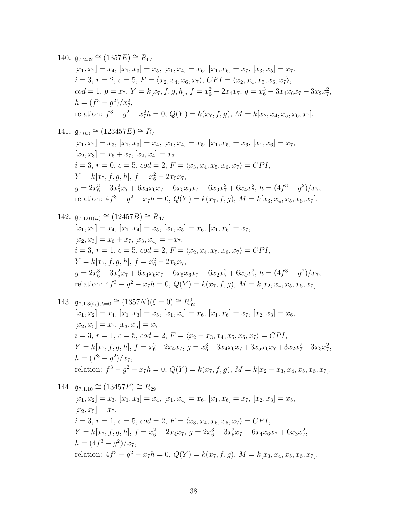# 140.  $\mathfrak{g}_{7,2,32} \cong (1357E) \cong R_{67}$  $[x_1, x_2] = x_4, [x_1, x_3] = x_5, [x_1, x_4] = x_6, [x_1, x_6] = x_7, [x_3, x_5] = x_7.$  $i = 3, r = 2, c = 5, F = \langle x_2, x_4, x_6, x_7 \rangle, CPI = \langle x_2, x_4, x_5, x_6, x_7 \rangle,$  $cod = 1, p = x_7, Y = k[x_7, f, g, h], f = x_6^2 - 2x_4x_7, g = x_6^3 - 3x_4x_6x_7 + 3x_2x_7^2,$  $h = (f^3 - g^2)/x_7^2$ , relation:  $f^3 - g^2 - x_7^2 h = 0$ ,  $Q(Y) = k(x_7, f, g)$ ,  $M = k[x_2, x_4, x_5, x_6, x_7]$ .

141.  $\mathfrak{g}_{7,0.3} \cong (123457E) \cong R_7$  $[x_1, x_2] = x_3, [x_1, x_3] = x_4, [x_1, x_4] = x_5, [x_1, x_5] = x_6, [x_1, x_6] = x_7,$  $[x_2, x_3] = x_6 + x_7, [x_2, x_4] = x_7.$  $i = 3, r = 0, c = 5, cod = 2, F = \langle x_3, x_4, x_5, x_6, x_7 \rangle = CPI,$  $Y = k[x_7, f, g, h], f = x_6^2 - 2x_5x_7,$  $g = 2x_6^3 - 3x_5^2x_7 + 6x_4x_6x_7 - 6x_5x_6x_7 - 6x_3x_7^2 + 6x_4x_7^2$ ,  $h = (4f^3 - g^2)/x_7$ , relation:  $4f^3 - g^2 - x_7h = 0$ ,  $Q(Y) = k(x_7, f, g)$ ,  $M = k[x_3, x_4, x_5, x_6, x_7]$ .

142. 
$$
\mathfrak{g}_{7,1.01(ii)} \cong (12457B) \cong R_{47}
$$
  
\n $[x_1, x_2] = x_4, [x_1, x_4] = x_5, [x_1, x_5] = x_6, [x_1, x_6] = x_7,$   
\n $[x_2, x_3] = x_6 + x_7, [x_3, x_4] = -x_7.$   
\n $i = 3, r = 1, c = 5, cod = 2, F = \langle x_2, x_4, x_5, x_6, x_7 \rangle = CPI,$   
\n $Y = k[x_7, f, g, h], f = x_6^2 - 2x_5x_7,$   
\n $g = 2x_6^3 - 3x_5^2x_7 + 6x_4x_6x_7 - 6x_5x_6x_7 - 6x_2x_7^2 + 6x_4x_7^2, h = (4f^3 - g^2)/x_7,$   
\nrelation:  $4f^3 - g^2 - x_7h = 0, Q(Y) = k(x_7, f, g), M = k[x_2, x_4, x_5, x_6, x_7].$ 

143. 
$$
\mathfrak{g}_{7,1.3(i_{\lambda}),\lambda=0} \cong (1357N)(\xi=0) \cong R_{62}^0
$$
  
\n $[x_1, x_2] = x_4, [x_1, x_3] = x_5, [x_1, x_4] = x_6, [x_1, x_6] = x_7, [x_2, x_3] = x_6,$   
\n $[x_2, x_5] = x_7, [x_3, x_5] = x_7.$   
\n $i = 3, r = 1, c = 5, cod = 2, F = \langle x_2 - x_3, x_4, x_5, x_6, x_7 \rangle = CPI,$   
\n $Y = k[x_7, f, g, h], f = x_6^2 - 2x_4x_7, g = x_6^3 - 3x_4x_6x_7 + 3x_5x_6x_7 + 3x_2x_7^2 - 3x_3x_7^2,$   
\n $h = (f^3 - g^2)/x_7,$   
\nrelation:  $f^3 - g^2 - x_7h = 0, Q(Y) = k(x_7, f, g), M = k[x_2 - x_3, x_4, x_5, x_6, x_7].$ 

144. 
$$
\mathfrak{g}_{7,1.10} \cong (13457F) \cong R_{29}
$$
  
\n $[x_1, x_2] = x_3, [x_1, x_3] = x_4, [x_1, x_4] = x_6, [x_1, x_6] = x_7, [x_2, x_3] = x_5,$   
\n $[x_2, x_5] = x_7.$   
\n $i = 3, r = 1, c = 5, cod = 2, F = \langle x_3, x_4, x_5, x_6, x_7 \rangle = CPI,$   
\n $Y = k[x_7, f, g, h], f = x_6^2 - 2x_4x_7, g = 2x_6^3 - 3x_5^2x_7 - 6x_4x_6x_7 + 6x_3x_7^2,$   
\n $h = (4f^3 - g^2)/x_7,$   
\nrelation:  $4f^3 - g^2 - x_7h = 0, Q(Y) = k(x_7, f, g), M = k[x_3, x_4, x_5, x_6, x_7].$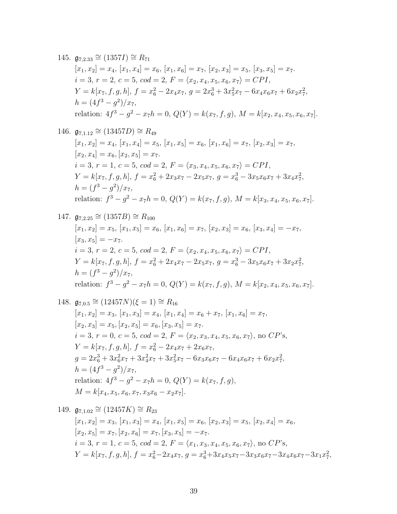# 145.  $\mathfrak{g}_{7,2.33} \cong (1357I) \cong R_{71}$  $[x_1, x_2] = x_4, [x_1, x_4] = x_6, [x_1, x_6] = x_7, [x_2, x_3] = x_5, [x_3, x_5] = x_7.$  $i = 3, r = 2, c = 5, cod = 2, F = \langle x_2, x_4, x_5, x_6, x_7 \rangle = CPI,$  $Y = k[x_7, f, g, h], f = x_6^2 - 2x_4x_7, g = 2x_6^3 + 3x_5^2x_7 - 6x_4x_6x_7 + 6x_2x_7^2,$  $h = (4f^3 - g^2)/x_7$ relation:  $4f^3 - g^2 - x_7h = 0$ ,  $Q(Y) = k(x_7, f, g)$ ,  $M = k[x_2, x_4, x_5, x_6, x_7]$ .

146.  $\mathfrak{g}_{7,1.12} \cong (13457D) \cong R_{49}$  $[x_1, x_2] = x_4$ ,  $[x_1, x_4] = x_5$ ,  $[x_1, x_5] = x_6$ ,  $[x_1, x_6] = x_7$ ,  $[x_2, x_3] = x_7$ ,  $[x_2, x_4] = x_6, [x_2, x_5] = x_7.$  $i = 3, r = 1, c = 5, cod = 2, F = \langle x_3, x_4, x_5, x_6, x_7 \rangle = CPI,$  $Y = k[x_7, f, g, h], f = x_6^2 + 2x_3x_7 - 2x_5x_7, g = x_6^3 - 3x_5x_6x_7 + 3x_4x_7^2,$  $h = (f^3 - g^2)/x_7$ relation:  $f^3 - g^2 - x_7h = 0$ ,  $Q(Y) = k(x_7, f, g)$ ,  $M = k[x_3, x_4, x_5, x_6, x_7]$ .

147. 
$$
\mathfrak{g}_{7,2.25} \cong (1357B) \cong R_{100}
$$
  
\n $[x_1, x_2] = x_5, [x_1, x_5] = x_6, [x_1, x_6] = x_7, [x_2, x_3] = x_6, [x_3, x_4] = -x_7,$   
\n $[x_3, x_5] = -x_7.$   
\n $i = 3, r = 2, c = 5, cod = 2, F = \langle x_2, x_4, x_5, x_6, x_7 \rangle = CPI,$   
\n $Y = k[x_7, f, g, h], f = x_6^2 + 2x_4x_7 - 2x_5x_7, g = x_6^3 - 3x_5x_6x_7 + 3x_2x_7^2,$   
\n $h = (f^3 - g^2)/x_7,$   
\nrelation:  $f^3 - g^2 - x_7h = 0, Q(Y) = k(x_7, f, g), M = k[x_2, x_4, x_5, x_6, x_7].$ 

148. 
$$
\mathfrak{g}_{7,0.5} \cong (12457N)(\xi = 1) \cong R_{16}
$$
  
\n $[x_1, x_2] = x_3, [x_1, x_3] = x_4, [x_1, x_4] = x_6 + x_7, [x_1, x_6] = x_7,$   
\n $[x_2, x_3] = x_5, [x_2, x_5] = x_6, [x_3, x_5] = x_7.$   
\n $i = 3, r = 0, c = 5, cod = 2, F = \langle x_2, x_3, x_4, x_5, x_6, x_7 \rangle, \text{ no } CP's,$   
\n $Y = k[x_7, f, g, h], f = x_6^2 - 2x_4x_7 + 2x_6x_7,$   
\n $g = 2x_6^3 + 3x_6^2x_7 + 3x_4^2x_7 + 3x_5^2x_7 - 6x_3x_6x_7 - 6x_4x_6x_7 + 6x_2x_7^2,$   
\n $h = (4f^3 - g^2)/x_7,$   
\nrelation:  $4f^3 - g^2 - x_7h = 0, Q(Y) = k(x_7, f, g),$   
\n $M = k[x_4, x_5, x_6, x_7, x_3x_6 - x_2x_7].$ 

149. 
$$
\mathfrak{g}_{7,1.02} \cong (12457K) \cong R_{23}
$$
  
\n $[x_1, x_2] = x_3, [x_1, x_3] = x_4, [x_1, x_5] = x_6, [x_2, x_3] = x_5, [x_2, x_4] = x_6,$   
\n $[x_2, x_5] = x_7, [x_2, x_6] = x_7, [x_3, x_5] = -x_7.$   
\n $i = 3, r = 1, c = 5, cod = 2, F = \langle x_1, x_3, x_4, x_5, x_6, x_7 \rangle, \text{ no } CP\text{'s},$   
\n $Y = k[x_7, f, g, h], f = x_6^2 - 2x_4x_7, g = x_6^3 + 3x_4x_5x_7 - 3x_3x_6x_7 - 3x_4x_6x_7 - 3x_1x_7^2,$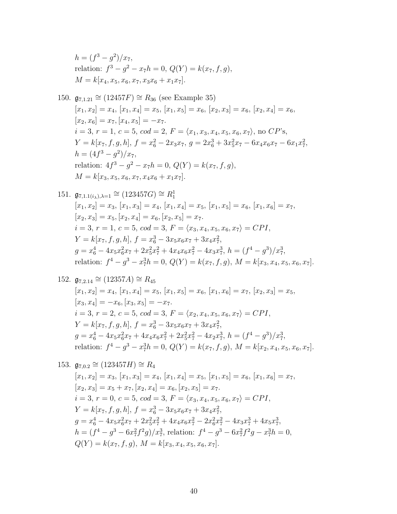$$
h = (f3 - g2)/x7,
$$
  
relation:  $f3 - g2 - x7h = 0$ ,  $Q(Y) = k(x7, f, g)$ ,  

$$
M = k[x4, x5, x6, x7, x3x6 + x1x7].
$$

150.  $\mathfrak{g}_{7,1.21} \cong (12457F) \cong R_{36}$  (see Example 35)  $[x_1, x_2] = x_4$ ,  $[x_1, x_4] = x_5$ ,  $[x_1, x_5] = x_6$ ,  $[x_2, x_3] = x_6$ ,  $[x_2, x_4] = x_6$ ,  $[x_2, x_6] = x_7, [x_4, x_5] = -x_7.$  $i = 3, r = 1, c = 5, cod = 2, F = \langle x_1, x_3, x_4, x_5, x_6, x_7 \rangle$ , no  $CP$ 's,  $Y = k[x_7, f, g, h], f = x_6^2 - 2x_3x_7, g = 2x_6^3 + 3x_5^2x_7 - 6x_4x_6x_7 - 6x_1x_7^2,$  $h = (4f^3 - g^2)/x_7$ relation:  $4f^3 - g^2 - x_7h = 0$ ,  $Q(Y) = k(x_7, f, g)$ ,  $M = k[x_3, x_5, x_6, x_7, x_4x_6 + x_1x_7].$ 

151. 
$$
\mathfrak{g}_{7,1.1(i_{\lambda}),\lambda=1} \cong (123457G) \cong R_1^1
$$
  
\n $[x_1, x_2] = x_3, [x_1, x_3] = x_4, [x_1, x_4] = x_5, [x_1, x_5] = x_6, [x_1, x_6] = x_7,$   
\n $[x_2, x_3] = x_5, [x_2, x_4] = x_6, [x_2, x_5] = x_7.$   
\n $i = 3, r = 1, c = 5, cod = 3, F = \langle x_3, x_4, x_5, x_6, x_7 \rangle = CPI,$   
\n $Y = k[x_7, f, g, h], f = x_6^3 - 3x_5x_6x_7 + 3x_4x_7^2,$   
\n $g = x_6^4 - 4x_5x_6^2x_7 + 2x_5^2x_7^2 + 4x_4x_6x_7^2 - 4x_3x_7^3, h = (f^4 - g^3)/x_7^3,$   
\nrelation:  $f^4 - g^3 - x_7^3h = 0, Q(Y) = k(x_7, f, g), M = k[x_3, x_4, x_5, x_6, x_7].$ 

152. 
$$
\mathfrak{g}_{7,2.14} \cong (12357A) \cong R_{45}
$$
  
\n $[x_1, x_2] = x_4, [x_1, x_4] = x_5, [x_1, x_5] = x_6, [x_1, x_6] = x_7, [x_2, x_3] = x_5,$   
\n $[x_3, x_4] = -x_6, [x_3, x_5] = -x_7.$   
\n $i = 3, r = 2, c = 5, cod = 3, F = \langle x_2, x_4, x_5, x_6, x_7 \rangle = CPI,$   
\n $Y = k[x_7, f, g, h], f = x_6^3 - 3x_5x_6x_7 + 3x_4x_7^2,$   
\n $g = x_6^4 - 4x_5x_6^2x_7 + 4x_4x_6x_7^2 + 2x_5^2x_7^2 - 4x_2x_7^3, h = (f^4 - g^3)/x_7^3,$   
\nrelation:  $f^4 - g^3 - x_7^3h = 0, Q(Y) = k(x_7, f, g), M = k[x_2, x_4, x_5, x_6, x_7].$ 

153. 
$$
\mathfrak{g}_{7,0.2} \cong (123457H) \cong R_4
$$
  
\n $[x_1, x_2] = x_3, [x_1, x_3] = x_4, [x_1, x_4] = x_5, [x_1, x_5] = x_6, [x_1, x_6] = x_7,$   
\n $[x_2, x_3] = x_5 + x_7, [x_2, x_4] = x_6, [x_2, x_5] = x_7.$   
\n $i = 3, r = 0, c = 5, cod = 3, F = \langle x_3, x_4, x_5, x_6, x_7 \rangle = CPI,$   
\n $Y = k[x_7, f, g, h], f = x_6^3 - 3x_5x_6x_7 + 3x_4x_7^2,$   
\n $g = x_6^4 - 4x_5x_6^2x_7 + 2x_5^2x_7^2 + 4x_4x_6x_7^2 - 2x_6^2x_7^2 - 4x_3x_7^3 + 4x_5x_7^3,$   
\n $h = (f^4 - g^3 - 6x_7^2f^2g)/x_7^3$ , relation:  $f^4 - g^3 - 6x_7^2f^2g - x_7^3h = 0,$   
\n $Q(Y) = k(x_7, f, g), M = k[x_3, x_4, x_5, x_6, x_7].$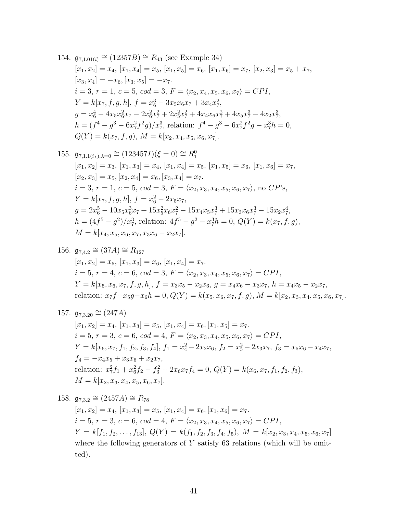154. 
$$
\mathfrak{g}_{7,1.01(i)} \cong (12357B) \cong R_{43}
$$
 (see Example 34)  
\n $[x_1, x_2] = x_4$ ,  $[x_1, x_4] = x_5$ ,  $[x_1, x_5] = x_6$ ,  $[x_1, x_6] = x_7$ ,  $[x_2, x_3] = x_5 + x_7$ ,  
\n $[x_3, x_4] = -x_6$ ,  $[x_3, x_5] = -x_7$ .  
\n $i = 3, r = 1, c = 5, cod = 3, F = \langle x_2, x_4, x_5, x_6, x_7 \rangle = CPI$ ,  
\n $Y = k[x_7, f, g, h], f = x_6^3 - 3x_5x_6x_7 + 3x_4x_7^2$ ,  
\n $g = x_6^4 - 4x_5x_6^2x_7 - 2x_6^2x_7^2 + 2x_5^2x_7^2 + 4x_4x_6x_7^2 + 4x_5x_7^3 - 4x_2x_7^3$ ,  
\n $h = (f^4 - g^3 - 6x_7^2f^2g)/x_7^3$ , relation:  $f^4 - g^3 - 6x_7^2f^2g - x_7^3h = 0$ ,  
\n $Q(Y) = k(x_7, f, g), M = k[x_2, x_4, x_5, x_6, x_7]$ .

155. 
$$
\mathfrak{g}_{7,1.1(i_{\lambda}),\lambda=0} \cong (123457I)(\xi=0) \cong R_1^0
$$
  
\n $[x_1, x_2] = x_3, [x_1, x_3] = x_4, [x_1, x_4] = x_5, [x_1, x_5] = x_6, [x_1, x_6] = x_7,$   
\n $[x_2, x_3] = x_5, [x_2, x_4] = x_6, [x_3, x_4] = x_7.$   
\n $i = 3, r = 1, c = 5, cod = 3, F = \langle x_2, x_3, x_4, x_5, x_6, x_7 \rangle$ , no CP's,  
\n $Y = k[x_7, f, g, h], f = x_6^2 - 2x_5x_7,$   
\n $g = 2x_6^5 - 10x_5x_6^3x_7 + 15x_5^2x_6x_7^2 - 15x_4x_5x_7^3 + 15x_3x_6x_7^3 - 15x_2x_7^4,$   
\n $h = (4f^5 - g^2)/x_7^3$ , relation:  $4f^5 - g^2 - x_7^3h = 0, Q(Y) = k(x_7, f, g), M = k[x_4, x_5, x_6, x_7, x_3x_6 - x_2x_7].$ 

156. 
$$
\mathfrak{g}_{7,4.2} \cong (37A) \cong R_{127}
$$
  
\n $[x_1, x_2] = x_5, [x_1, x_3] = x_6, [x_1, x_4] = x_7.$   
\n $i = 5, r = 4, c = 6, cod = 3, F = \langle x_2, x_3, x_4, x_5, x_6, x_7 \rangle = CPI,$   
\n $Y = k[x_5, x_6, x_7, f, g, h], f = x_3x_5 - x_2x_6, g = x_4x_6 - x_3x_7, h = x_4x_5 - x_2x_7,$   
\nrelation:  $x_7f + x_5g - x_6h = 0, Q(Y) = k(x_5, x_6, x_7, f, g), M = k[x_2, x_3, x_4, x_5, x_6, x_7].$ 

157. 
$$
\mathfrak{g}_{7,3.20} \cong (247A)
$$
  
\n $[x_1, x_2] = x_4, [x_1, x_3] = x_5, [x_1, x_4] = x_6, [x_1, x_5] = x_7.$   
\n $i = 5, r = 3, c = 6, cod = 4, F = \langle x_2, x_3, x_4, x_5, x_6, x_7 \rangle = CPI,$   
\n $Y = k[x_6, x_7, f_1, f_2, f_3, f_4], f_1 = x_4^2 - 2x_2x_6, f_2 = x_5^2 - 2x_3x_7, f_3 = x_5x_6 - x_4x_7,$   
\n $f_4 = -x_4x_5 + x_3x_6 + x_2x_7,$   
\nrelation:  $x_7^2f_1 + x_6^2f_2 - f_3^2 + 2x_6x_7f_4 = 0, Q(Y) = k(x_6, x_7, f_1, f_2, f_3),$   
\n $M = k[x_2, x_3, x_4, x_5, x_6, x_7].$ 

158. 
$$
\mathfrak{g}_{7,3.2} \cong (2457A) \cong R_{78}
$$
  
\n $[x_1, x_2] = x_4, [x_1, x_3] = x_5, [x_1, x_4] = x_6, [x_1, x_6] = x_7$ .  
\n $i = 5, r = 3, c = 6, cod = 4, F = \langle x_2, x_3, x_4, x_5, x_6, x_7 \rangle = CPI$ ,  
\n $Y = k[f_1, f_2, \ldots, f_{13}], Q(Y) = k(f_1, f_2, f_3, f_4, f_5), M = k[x_2, x_3, x_4, x_5, x_6, x_7]$   
\nwhere the following generators of Y satisfy 63 relations (which will be omitted).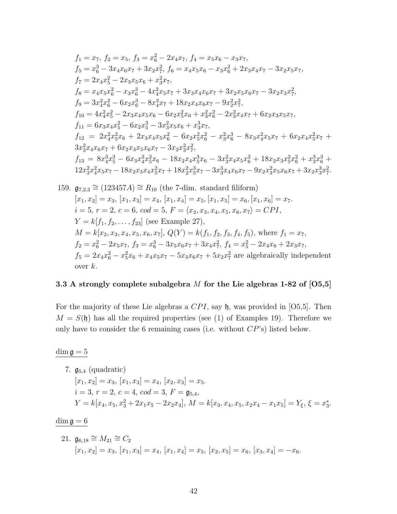$$
f_1 = x_7, f_2 = x_5, f_3 = x_6^2 - 2x_4x_7, f_4 = x_5x_6 - x_3x_7,
$$
  
\n
$$
f_5 = x_6^3 - 3x_4x_6x_7 + 3x_2x_7^2, f_6 = x_4x_5x_6 - x_3x_6^2 + 2x_3x_4x_7 - 3x_2x_5x_7,
$$
  
\n
$$
f_7 = 2x_4x_5^2 - 2x_3x_5x_6 + x_3^2x_7,
$$
  
\n
$$
f_8 = x_4x_5x_6^2 - x_3x_6^3 - 4x_4^2x_5x_7 + 3x_3x_4x_6x_7 + 3x_2x_5x_6x_7 - 3x_2x_3x_7^2,
$$
  
\n
$$
f_9 = 3x_4^2x_6^2 - 6x_2x_6^3 - 8x_4^3x_7 + 18x_2x_4x_6x_7 - 9x_2^2x_7^2,
$$
  
\n
$$
f_{10} = 4x_4^2x_5^2 - 2x_3x_4x_5x_6 - 6x_2x_5^2x_6 + x_3^2x_6^2 - 2x_3^2x_4x_7 + 6x_2x_3x_5x_7,
$$
  
\n
$$
f_{11} = 6x_3x_4x_5^2 - 6x_2x_3^3 - 3x_3^2x_5x_6 + x_3^3x_7,
$$
  
\n
$$
f_{12} = 2x_4^2x_5^2x_6 + 2x_3x_4x_5x_6^2 - 6x_2x_5^2x_6^2 - x_3^2x_6^3 - 8x_3x_4^2x_5x_7 + 6x_2x_4x_5^2x_7 + 3x_3^2x_4x_6x_7 + 6x_2x_3x_5x_6x_7 - 3x_2x_3^2x_7^2,
$$
  
\n
$$
f_{13} = 8x_4^3x_5^3 - 6x_3x_4^2x_5^2x_6 - 18x_2x_4x_5^3x_6 - 3
$$

159. 
$$
\mathfrak{g}_{7,2.3} \cong (123457A) \cong R_{10}
$$
 (the 7-dim. standard filiform)  
\n $[x_1, x_2] = x_3$ ,  $[x_1, x_3] = x_4$ ,  $[x_1, x_4] = x_5$ ,  $[x_1, x_5] = x_6$ ,  $[x_1, x_6] = x_7$ .  
\n $i = 5$ ,  $r = 2$ ,  $c = 6$ ,  $cod = 5$ ,  $F = \langle x_2, x_3, x_4, x_5, x_6, x_7 \rangle = CPI$ ,  
\n $Y = k[f_1, f_2, \ldots, f_{23}]$  (see Example 27),  
\n $M = k[x_2, x_3, x_4, x_5, x_6, x_7]$ ,  $Q(Y) = k(f_1, f_2, f_3, f_4, f_5)$ , where  $f_1 = x_7$ ,  
\n $f_2 = x_6^2 - 2x_5x_7$ ,  $f_3 = x_6^3 - 3x_5x_6x_7 + 3x_4x_7^2$ ,  $f_4 = x_5^2 - 2x_4x_6 + 2x_3x_7$ ,  
\n $f_5 = 2x_4x_6^2 - x_5^2x_6 + x_4x_5x_7 - 5x_3x_6x_7 + 5x_2x_7^2$  are algebraically independent  
\nover  $k$ .

# 3.3 A strongly complete subalgebra  $M$  for the Lie algebras 1-82 of  $[05,5]$

For the majority of these Lie algebras a  $CPI$ , say h, was provided in [O5,5]. Then  $M = S(\mathfrak{h})$  has all the required properties (see (1) of Examples 19). Therefore we only have to consider the 6 remaining cases (i.e. without  $CP$ 's) listed below.

 $\dim \mathfrak{g}=5$ 

7. 
$$
\mathfrak{g}_{5,4}
$$
 (quadratic)  
\n $[x_1, x_2] = x_3$ ,  $[x_1, x_3] = x_4$ ,  $[x_2, x_3] = x_5$ .  
\n $i = 3$ ,  $r = 2$ ,  $c = 4$ ,  $cod = 3$ ,  $F = \mathfrak{g}_{5,4}$ ,  
\n $Y = k[x_4, x_5, x_3^2 + 2x_1x_5 - 2x_2x_4]$ ,  $M = k[x_3, x_4, x_5, x_2x_4 - x_1x_5] = Y_{\xi}$ ,  $\xi = x_3^*$ .

 $\dim \mathfrak{g}=6$ 

21. 
$$
\mathfrak{g}_{6,18} \cong M_{21} \cong C_2
$$
  
\n $[x_1, x_2] = x_3, [x_1, x_3] = x_4, [x_1, x_4] = x_5, [x_2, x_5] = x_6, [x_3, x_4] = -x_6.$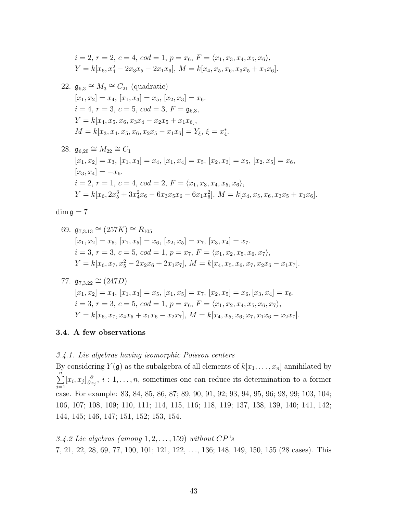$$
i = 2, r = 2, c = 4, cod = 1, p = x_6, F = \langle x_1, x_3, x_4, x_5, x_6 \rangle,
$$
  
\n $Y = k[x_6, x_4^2 - 2x_3x_5 - 2x_1x_6], M = k[x_4, x_5, x_6, x_3x_5 + x_1x_6].$ 

22.  $\mathfrak{g}_{6,3} \cong M_3 \cong C_{21}$  (quadratic)  $[x_1, x_2] = x_4, [x_1, x_3] = x_5, [x_2, x_3] = x_6.$  $i = 4, r = 3, c = 5, cod = 3, F = \mathfrak{g}_{6,3}$  $Y = k[x_4, x_5, x_6, x_3x_4 - x_2x_5 + x_1x_6],$  $M = k[x_3, x_4, x_5, x_6, x_2x_5 - x_1x_6] = Y_{\xi}, \xi = x_4^*.$ 

28. 
$$
\mathfrak{g}_{6,20} \cong M_{22} \cong C_1
$$
  
\n $[x_1, x_2] = x_3, [x_1, x_3] = x_4, [x_1, x_4] = x_5, [x_2, x_3] = x_5, [x_2, x_5] = x_6,$   
\n $[x_3, x_4] = -x_6.$   
\n $i = 2, r = 1, c = 4, cod = 2, F = \langle x_1, x_3, x_4, x_5, x_6 \rangle,$   
\n $Y = k[x_6, 2x_5^3 + 3x_4^2x_6 - 6x_3x_5x_6 - 6x_1x_6^2], M = k[x_4, x_5, x_6, x_3x_5 + x_1x_6].$ 

$$
\dim\mathfrak{g}=7
$$

69. 
$$
\mathfrak{g}_{7,3.13} \cong (257K) \cong R_{105}
$$
  
\n $[x_1, x_2] = x_5, [x_1, x_5] = x_6, [x_2, x_5] = x_7, [x_3, x_4] = x_7.$   
\n $i = 3, r = 3, c = 5, cod = 1, p = x_7, F = \langle x_1, x_2, x_5, x_6, x_7 \rangle,$   
\n $Y = k[x_6, x_7, x_5^2 - 2x_2x_6 + 2x_1x_7], M = k[x_4, x_5, x_6, x_7, x_2x_6 - x_1x_7].$ 

77. 
$$
\mathfrak{g}_{7,3.22} \cong (247D)
$$
  
\n $[x_1, x_2] = x_4, [x_1, x_3] = x_5, [x_1, x_5] = x_7, [x_2, x_5] = x_6, [x_3, x_4] = x_6.$   
\n $i = 3, r = 3, c = 5, cod = 1, p = x_6, F = \langle x_1, x_2, x_4, x_5, x_6, x_7 \rangle,$   
\n $Y = k[x_6, x_7, x_4x_5 + x_1x_6 - x_2x_7], M = k[x_4, x_5, x_6, x_7, x_1x_6 - x_2x_7].$ 

### 3.4. A few observations

### 3.4.1. Lie algebras having isomorphic Poisson centers

By considering  $Y(\mathfrak{g})$  as the subalgebra of all elements of  $k[x_1, \ldots, x_n]$  annihilated by  $\sum_{n=1}^{\infty}$  $j=1$  $[x_i, x_j] \frac{\partial}{\partial x}$  $\frac{\partial}{\partial x_j}$ ,  $i:1,\ldots,n$ , sometimes one can reduce its determination to a former case. For example: 83, 84, 85, 86, 87; 89, 90, 91, 92; 93, 94, 95, 96; 98, 99; 103, 104; 106, 107; 108, 109; 110, 111; 114, 115, 116; 118, 119; 137, 138, 139, 140; 141, 142; 144, 145; 146, 147; 151, 152; 153, 154.

3.4.2 Lie algebras (among  $1, 2, \ldots, 159$ ) without  $CP$ 's 7, 21, 22, 28, 69, 77, 100, 101; 121, 122, . . ., 136; 148, 149, 150, 155 (28 cases). This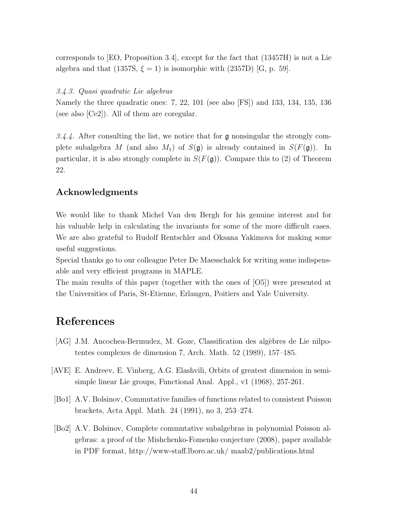corresponds to [EO, Proposition 3.4], except for the fact that (13457H) is not a Lie algebra and that (1357S,  $\xi = 1$ ) is isomorphic with (2357D) [G, p. 59].

## 3.4.3. Quasi quadratic Lie algebras

Namely the three quadratic ones: 7, 22, 101 (see also [FS]) and 133, 134, 135, 136 (see also [Ce2]). All of them are coregular.

3.4.4. After consulting the list, we notice that for  $\mathfrak g$  nonsingular the strongly complete subalgebra M (and also  $M_1$ ) of  $S(\mathfrak{g})$  is already contained in  $S(F(\mathfrak{g}))$ . In particular, it is also strongly complete in  $S(F(\mathfrak{g}))$ . Compare this to (2) of Theorem 22.

# Acknowledgments

We would like to thank Michel Van den Bergh for his genuine interest and for his valuable help in calculating the invariants for some of the more difficult cases. We are also grateful to Rudolf Rentschler and Oksana Yakimova for making some useful suggestions.

Special thanks go to our colleague Peter De Maesschalck for writing some indispensable and very efficient programs in MAPLE.

The main results of this paper (together with the ones of [O5]) were presented at the Universities of Paris, St-Etienne, Erlangen, Poitiers and Yale University.

# References

- [AG] J.M. Ancochea-Bermudez, M. Goze, Classification des algèbres de Lie nilpotentes complexes de dimension 7, Arch. Math. 52 (1989), 157–185.
- [AVE] E. Andreev, E. Vinberg, A.G. Elashvili, Orbits of greatest dimension in semisimple linear Lie groups, Functional Anal. Appl., v1 (1968), 257-261.
- [Bo1] A.V. Bolsinov, Commutative families of functions related to consistent Poisson brackets, Acta Appl. Math. 24 (1991), no 3, 253–274.
- [Bo2] A.V. Bolsinov, Complete commutative subalgebras in polynomial Poisson algebras: a proof of the Mishchenko-Fomenko conjecture (2008), paper available in PDF format, http://www-staff.lboro.ac.uk/ maab2/publications.html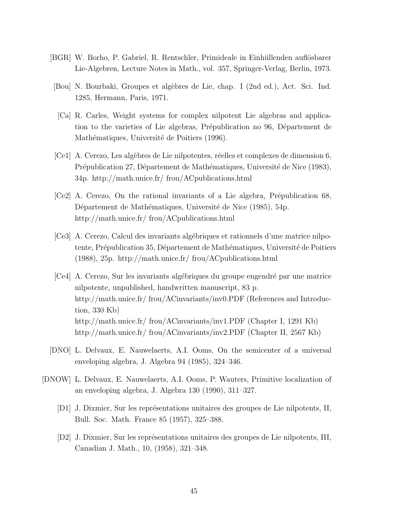- [BGR] W. Borho, P. Gabriel, R. Rentschler, Primideale in Einhüllenden auflösbarer Lie-Algebren, Lecture Notes in Math., vol. 357, Springer-Verlag, Berlin, 1973.
- [Bou] N. Bourbaki, Groupes et alg`ebres de Lie, chap. I (2nd ed.), Act. Sci. Ind. 1285, Hermann, Paris, 1971.
	- [Ca] R. Carles, Weight systems for complex nilpotent Lie algebras and application to the varieties of Lie algebras, Prépublication no 96, Département de Mathématiques, Université de Poitiers (1996).
- [Ce1] A. Cerezo, Les algèbres de Lie nilpotentes, réelles et complexes de dimension 6, Prépublication 27, Département de Mathématiques, Université de Nice (1983), 34p. http://math.unice.fr/ frou/ACpublications.html
- $[Ce2]$  A. Cerezo, On the rational invariants of a Lie algebra, Prépublication 68, Département de Mathématiques, Université de Nice (1985), 54p. http://math.unice.fr/ frou/ACpublications.html
- [Ce3] A. Cerezo, Calcul des invariants alg´ebriques et rationnels d'une matrice nilpotente, Prépublication 35, Département de Mathématiques, Université de Poitiers (1988), 25p. http://math.unice.fr/ frou/ACpublications.html
- [Ce4] A. Cerezo, Sur les invariants algébriques du groupe engendré par une matrice nilpotente, unpublished, handwritten manuscript, 83 p. http://math.unice.fr/ frou/ACinvariants/inv0.PDF (References and Introduction, 330 Kb) http://math.unice.fr/ frou/ACinvariants/inv1.PDF (Chapter I, 1291 Kb) http://math.unice.fr/ frou/ACinvariants/inv2.PDF (Chapter II, 2567 Kb)
- [DNO] L. Delvaux, E. Nauwelaerts, A.I. Ooms, On the semicenter of a universal enveloping algebra, J. Algebra 94 (1985), 324–346.
- [DNOW] L. Delvaux, E. Nauwelaerts, A.I. Ooms, P. Wauters, Primitive localization of an enveloping algebra, J. Algebra 130 (1990), 311–327.
	- [D1] J. Dixmier, Sur les représentations unitaires des groupes de Lie nilpotents, II, Bull. Soc. Math. France 85 (1957), 325–388.
	- [D2] J. Dixmier, Sur les représentations unitaires des groupes de Lie nilpotents, III, Canadian J. Math., 10, (1958), 321–348.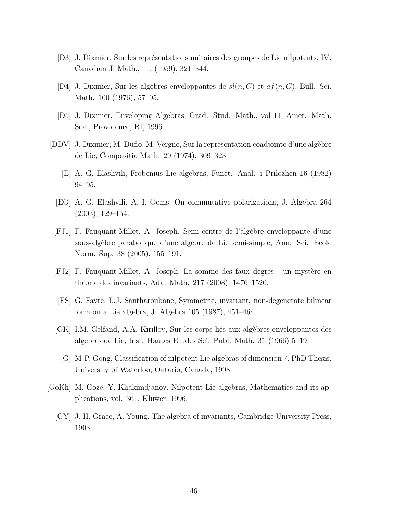- [D3] J. Dixmier, Sur les représentations unitaires des groupes de Lie nilpotents, IV, Canadian J. Math., 11, (1959), 321–344.
- [D4] J. Dixmier, Sur les algèbres enveloppantes de  $sl(n, C)$  et  $af(n, C)$ , Bull. Sci. Math. 100 (1976), 57–95.
- [D5] J. Dixmier, Enveloping Algebras, Grad. Stud. Math., vol 11, Amer. Math. Soc., Providence, RI, 1996.
- [DDV] J. Dixmier, M. Duflo, M. Vergne, Sur la représentation coadjointe d'une algèbre de Lie, Compositio Math. 29 (1974), 309–323.
	- [E] A. G. Elashvili, Frobenius Lie algebras, Funct. Anal. i Prilozhen 16 (1982) 94–95.
	- [EO] A. G. Elashvili, A. I. Ooms, On commutative polarizations, J. Algebra 264 (2003), 129–154.
- [FJ1] F. Fauquant-Millet, A. Joseph, Semi-centre de l'alg`ebre enveloppante d'une sous-alg`ebre parabolique d'une alg`ebre de Lie semi-simple, Ann. Sci. Ecole ´ Norm. Sup. 38 (2005), 155–191.
- [FJ2] F. Fauquant-Millet, A. Joseph, La somme des faux degrés un mystère en théorie des invariants, Adv. Math. 217 (2008), 1476–1520.
- [FS] G. Favre, L.J. Santharoubane, Symmetric, invariant, non-degenerate bilinear form on a Lie algebra, J. Algebra 105 (1987), 451–464.
- [GK] I.M. Gelfand, A.A. Kirillov, Sur les corps liés aux algèbres enveloppantes des alg`ebres de Lie, Inst. Hautes Etudes Sci. Publ. Math. 31 (1966) 5–19.
	- [G] M-P. Gong, Classification of nilpotent Lie algebras of dimension 7, PhD Thesis, University of Waterloo, Ontario, Canada, 1998.
- [GoKh] M. Goze, Y. Khakimdjanov, Nilpotent Lie algebras, Mathematics and its applications, vol. 361, Kluwer, 1996.
	- [GY] J. H. Grace, A. Young, The algebra of invariants, Cambridge University Press, 1903.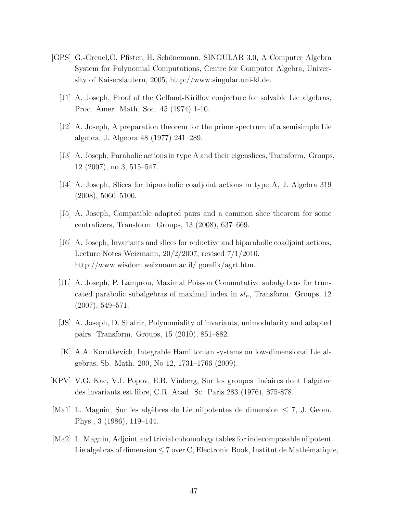- [GPS] G.-Greuel, G. Pfister, H. Schönemann, SINGULAR 3.0, A Computer Algebra System for Polynomial Computations, Centre for Computer Algebra, University of Kaiserslautern, 2005, http://www.singular.uni-kl.de.
	- [J1] A. Joseph, Proof of the Gelfand-Kirillov conjecture for solvable Lie algebras, Proc. Amer. Math. Soc. 45 (1974) 1-10.
	- [J2] A. Joseph, A preparation theorem for the prime spectrum of a semisimple Lie algebra, J. Algebra 48 (1977) 241–289.
	- [J3] A. Joseph, Parabolic actions in type A and their eigenslices, Transform. Groups, 12 (2007), no 3, 515–547.
	- [J4] A. Joseph, Slices for biparabolic coadjoint actions in type A, J. Algebra 319  $(2008), 5060 - 5100.$
	- [J5] A. Joseph, Compatible adapted pairs and a common slice theorem for some centralizers, Transform. Groups, 13 (2008), 637–669.
	- [J6] A. Joseph, Invariants and slices for reductive and biparabolic coadjoint actions, Lecture Notes Weizmann, 20/2/2007, revised 7/1/2010, http://www.wisdom.weizmann.ac.il/ gorelik/agrt.htm.
	- [JL] A. Joseph, P. Lamprou, Maximal Poisson Commutative subalgebras for truncated parabolic subalgebras of maximal index in  $sl_n$ , Transform. Groups, 12 (2007), 549–571.
	- [JS] A. Joseph, D. Shafrir, Polynomiality of invariants, unimodularity and adapted pairs. Transform. Groups, 15 (2010), 851–882.
	- [K] A.A. Korotkevich, Integrable Hamiltonian systems on low-dimensional Lie algebras, Sb. Math. 200, No 12, 1731–1766 (2009).
- [KPV] V.G. Kac, V.I. Popov, E.B. Vinberg, Sur les groupes linéaires dont l'algèbre des invariants est libre, C.R. Acad. Sc. Paris 283 (1976), 875-878.
- [Ma1] L. Magnin, Sur les algèbres de Lie nilpotentes de dimension  $\leq 7$ , J. Geom. Phys., 3 (1986), 119–144.
- [Ma2] L. Magnin, Adjoint and trivial cohomology tables for indecomposable nilpotent Lie algebras of dimension  $\leq 7$  over C, Electronic Book, Institut de Mathématique,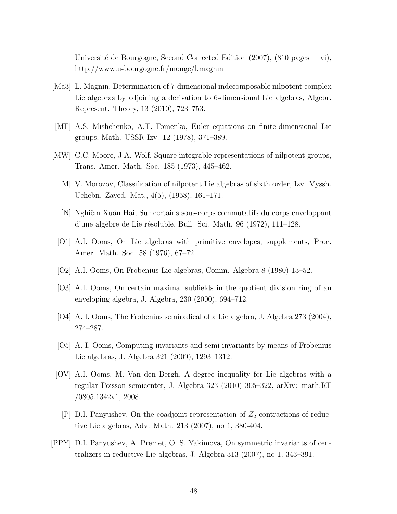Université de Bourgogne, Second Corrected Edition (2007), (810 pages + vi), http://www.u-bourgogne.fr/monge/l.magnin

- [Ma3] L. Magnin, Determination of 7-dimensional indecomposable nilpotent complex Lie algebras by adjoining a derivation to 6-dimensional Lie algebras, Algebr. Represent. Theory, 13 (2010), 723–753.
- [MF] A.S. Mishchenko, A.T. Fomenko, Euler equations on finite-dimensional Lie groups, Math. USSR-Izv. 12 (1978), 371–389.
- [MW] C.C. Moore, J.A. Wolf, Square integrable representations of nilpotent groups, Trans. Amer. Math. Soc. 185 (1973), 445–462.
	- [M] V. Morozov, Classification of nilpotent Lie algebras of sixth order, Izv. Vyssh. Uchebn. Zaved. Mat., 4(5), (1958), 161–171.
	- [N] Nghiˆem Xuˆan Hai, Sur certains sous-corps commutatifs du corps enveloppant d'une algèbre de Lie résoluble, Bull. Sci. Math.  $96$  (1972), 111–128.
	- [O1] A.I. Ooms, On Lie algebras with primitive envelopes, supplements, Proc. Amer. Math. Soc. 58 (1976), 67–72.
	- [O2] A.I. Ooms, On Frobenius Lie algebras, Comm. Algebra 8 (1980) 13–52.
	- [O3] A.I. Ooms, On certain maximal subfields in the quotient division ring of an enveloping algebra, J. Algebra, 230 (2000), 694–712.
	- [O4] A. I. Ooms, The Frobenius semiradical of a Lie algebra, J. Algebra 273 (2004), 274–287.
	- [O5] A. I. Ooms, Computing invariants and semi-invariants by means of Frobenius Lie algebras, J. Algebra 321 (2009), 1293–1312.
- [OV] A.I. Ooms, M. Van den Bergh, A degree inequality for Lie algebras with a regular Poisson semicenter, J. Algebra 323 (2010) 305–322, arXiv: math.RT /0805.1342v1, 2008.
	- $[P]$  D.I. Panyushev, On the coadjoint representation of  $Z_2$ -contractions of reductive Lie algebras, Adv. Math. 213 (2007), no 1, 380-404.
- [PPY] D.I. Panyushev, A. Premet, O. S. Yakimova, On symmetric invariants of centralizers in reductive Lie algebras, J. Algebra 313 (2007), no 1, 343–391.